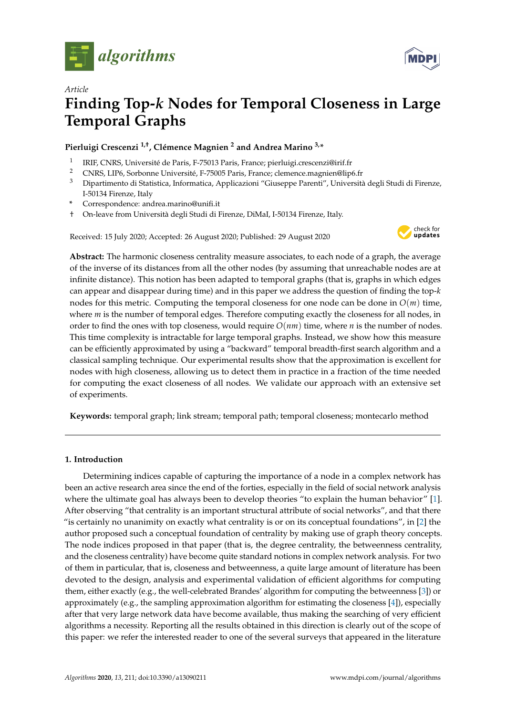



# *Article* **Finding Top-***k* **Nodes for Temporal Closeness in Large Temporal Graphs**

# **Pierluigi Crescenzi 1,†, Clémence Magnien <sup>2</sup> and Andrea Marino 3,\***

- 1 IRIF, CNRS, Université de Paris, F-75013 Paris, France; pierluigi.crescenzi@irif.fr
- <sup>2</sup> CNRS, LIP6, Sorbonne Université, F-75005 Paris, France; clemence.magnien@lip6.fr
- <sup>3</sup> Dipartimento di Statistica, Informatica, Applicazioni "Giuseppe Parenti", Università degli Studi di Firenze, I-50134 Firenze, Italy
- **\*** Correspondence: andrea.marino@unifi.it
- † On-leave from Università degli Studi di Firenze, DiMaI, I-50134 Firenze, Italy.

Received: 15 July 2020; Accepted: 26 August 2020; Published: 29 August 2020



**Abstract:** The harmonic closeness centrality measure associates, to each node of a graph, the average of the inverse of its distances from all the other nodes (by assuming that unreachable nodes are at infinite distance). This notion has been adapted to temporal graphs (that is, graphs in which edges can appear and disappear during time) and in this paper we address the question of finding the top-*k* nodes for this metric. Computing the temporal closeness for one node can be done in *O*(*m*) time, where *m* is the number of temporal edges. Therefore computing exactly the closeness for all nodes, in order to find the ones with top closeness, would require  $O(nm)$  time, where *n* is the number of nodes. This time complexity is intractable for large temporal graphs. Instead, we show how this measure can be efficiently approximated by using a "backward" temporal breadth-first search algorithm and a classical sampling technique. Our experimental results show that the approximation is excellent for nodes with high closeness, allowing us to detect them in practice in a fraction of the time needed for computing the exact closeness of all nodes. We validate our approach with an extensive set of experiments.

**Keywords:** temporal graph; link stream; temporal path; temporal closeness; montecarlo method

# **1. Introduction**

Determining indices capable of capturing the importance of a node in a complex network has been an active research area since the end of the forties, especially in the field of social network analysis where the ultimate goal has always been to develop theories "to explain the human behavior" [\[1\]](#page-24-0). After observing "that centrality is an important structural attribute of social networks", and that there "is certainly no unanimity on exactly what centrality is or on its conceptual foundations", in [\[2\]](#page-24-1) the author proposed such a conceptual foundation of centrality by making use of graph theory concepts. The node indices proposed in that paper (that is, the degree centrality, the betweenness centrality, and the closeness centrality) have become quite standard notions in complex network analysis. For two of them in particular, that is, closeness and betweenness, a quite large amount of literature has been devoted to the design, analysis and experimental validation of efficient algorithms for computing them, either exactly (e.g., the well-celebrated Brandes' algorithm for computing the betweenness [\[3\]](#page-24-2)) or approximately (e.g., the sampling approximation algorithm for estimating the closeness  $[4]$ ), especially after that very large network data have become available, thus making the searching of very efficient algorithms a necessity. Reporting all the results obtained in this direction is clearly out of the scope of this paper: we refer the interested reader to one of the several surveys that appeared in the literature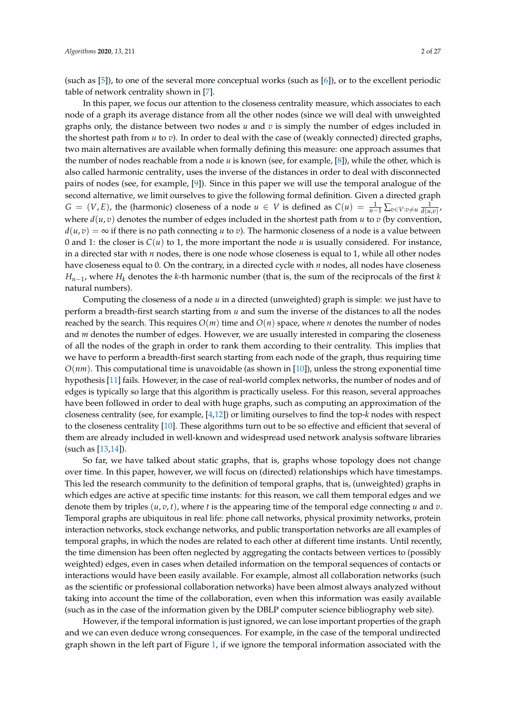(such as [\[5\]](#page-25-0)), to one of the several more conceptual works (such as [\[6\]](#page-25-1)), or to the excellent periodic table of network centrality shown in [\[7\]](#page-25-2).

In this paper, we focus our attention to the closeness centrality measure, which associates to each node of a graph its average distance from all the other nodes (since we will deal with unweighted graphs only, the distance between two nodes *u* and *v* is simply the number of edges included in the shortest path from *u* to *v*). In order to deal with the case of (weakly connected) directed graphs, two main alternatives are available when formally defining this measure: one approach assumes that the number of nodes reachable from a node *u* is known (see, for example, [\[8\]](#page-25-3)), while the other, which is also called harmonic centrality, uses the inverse of the distances in order to deal with disconnected pairs of nodes (see, for example, [\[9\]](#page-25-4)). Since in this paper we will use the temporal analogue of the second alternative, we limit ourselves to give the following formal definition. Given a directed graph  $G = (V, E)$ , the (harmonic) closeness of a node  $u \in V$  is defined as  $C(u) = \frac{1}{n-1} \sum_{v \in V: v \neq u} \frac{1}{d(u,v)}$ , where  $d(u, v)$  denotes the number of edges included in the shortest path from  $u$  to  $v$  (by convention,  $d(u, v) = \infty$  if there is no path connecting *u* to *v*). The harmonic closeness of a node is a value between 0 and 1: the closer is  $C(u)$  to 1, the more important the node  $u$  is usually considered. For instance, in a directed star with *n* nodes, there is one node whose closeness is equal to 1, while all other nodes have closeness equal to 0. On the contrary, in a directed cycle with *n* nodes, all nodes have closeness *Hn*−1, where *H<sup>k</sup>* denotes the *k*-th harmonic number (that is, the sum of the reciprocals of the first *k* natural numbers).

Computing the closeness of a node *u* in a directed (unweighted) graph is simple: we just have to perform a breadth-first search starting from *u* and sum the inverse of the distances to all the nodes reached by the search. This requires  $O(m)$  time and  $O(n)$  space, where *n* denotes the number of nodes and *m* denotes the number of edges. However, we are usually interested in comparing the closeness of all the nodes of the graph in order to rank them according to their centrality. This implies that we have to perform a breadth-first search starting from each node of the graph, thus requiring time *O*(*nm*). This computational time is unavoidable (as shown in [\[10\]](#page-25-5)), unless the strong exponential time hypothesis [\[11\]](#page-25-6) fails. However, in the case of real-world complex networks, the number of nodes and of edges is typically so large that this algorithm is practically useless. For this reason, several approaches have been followed in order to deal with huge graphs, such as computing an approximation of the closeness centrality (see, for example, [\[4,](#page-24-3)[12\]](#page-25-7)) or limiting ourselves to find the top-*k* nodes with respect to the closeness centrality [\[10\]](#page-25-5). These algorithms turn out to be so effective and efficient that several of them are already included in well-known and widespread used network analysis software libraries (such as [\[13](#page-25-8)[,14\]](#page-25-9)).

So far, we have talked about static graphs, that is, graphs whose topology does not change over time. In this paper, however, we will focus on (directed) relationships which have timestamps. This led the research community to the definition of temporal graphs, that is, (unweighted) graphs in which edges are active at specific time instants: for this reason, we call them temporal edges and we denote them by triples (*u*, *v*, *t*), where *t* is the appearing time of the temporal edge connecting *u* and *v*. Temporal graphs are ubiquitous in real life: phone call networks, physical proximity networks, protein interaction networks, stock exchange networks, and public transportation networks are all examples of temporal graphs, in which the nodes are related to each other at different time instants. Until recently, the time dimension has been often neglected by aggregating the contacts between vertices to (possibly weighted) edges, even in cases when detailed information on the temporal sequences of contacts or interactions would have been easily available. For example, almost all collaboration networks (such as the scientific or professional collaboration networks) have been almost always analyzed without taking into account the time of the collaboration, even when this information was easily available (such as in the case of the information given by the DBLP computer science bibliography web site).

However, if the temporal information is just ignored, we can lose important properties of the graph and we can even deduce wrong consequences. For example, in the case of the temporal undirected graph shown in the left part of Figure [1,](#page-2-0) if we ignore the temporal information associated with the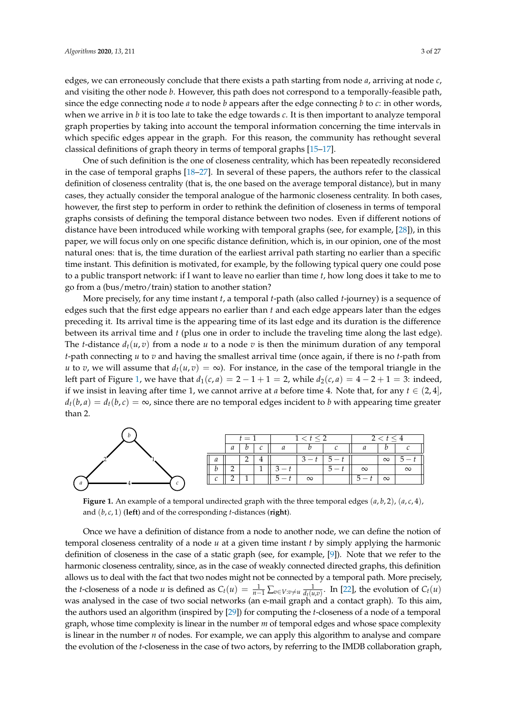edges, we can erroneously conclude that there exists a path starting from node *a*, arriving at node *c*, and visiting the other node *b*. However, this path does not correspond to a temporally-feasible path, since the edge connecting node *a* to node *b* appears after the edge connecting *b* to *c*: in other words, when we arrive in *b* it is too late to take the edge towards *c*. It is then important to analyze temporal graph properties by taking into account the temporal information concerning the time intervals in which specific edges appear in the graph. For this reason, the community has rethought several classical definitions of graph theory in terms of temporal graphs [\[15–](#page-25-10)[17\]](#page-25-11).

One of such definition is the one of closeness centrality, which has been repeatedly reconsidered in the case of temporal graphs [\[18–](#page-25-12)[27\]](#page-25-13). In several of these papers, the authors refer to the classical definition of closeness centrality (that is, the one based on the average temporal distance), but in many cases, they actually consider the temporal analogue of the harmonic closeness centrality. In both cases, however, the first step to perform in order to rethink the definition of closeness in terms of temporal graphs consists of defining the temporal distance between two nodes. Even if different notions of distance have been introduced while working with temporal graphs (see, for example, [\[28\]](#page-25-14)), in this paper, we will focus only on one specific distance definition, which is, in our opinion, one of the most natural ones: that is, the time duration of the earliest arrival path starting no earlier than a specific time instant. This definition is motivated, for example, by the following typical query one could pose to a public transport network: if I want to leave no earlier than time *t*, how long does it take to me to go from a (bus/metro/train) station to another station?

More precisely, for any time instant *t*, a temporal *t*-path (also called *t*-journey) is a sequence of edges such that the first edge appears no earlier than *t* and each edge appears later than the edges preceding it. Its arrival time is the appearing time of its last edge and its duration is the difference between its arrival time and *t* (plus one in order to include the traveling time along the last edge). The *t*-distance  $d_t(u, v)$  from a node *u* to a node *v* is then the minimum duration of any temporal *t*-path connecting *u* to *v* and having the smallest arrival time (once again, if there is no *t*-path from *u* to *v*, we will assume that  $d_t(u,v) = \infty$ . For instance, in the case of the temporal triangle in the left part of Figure [1,](#page-2-0) we have that  $d_1(c, a) = 2 - 1 + 1 = 2$ , while  $d_2(c, a) = 4 - 2 + 1 = 3$ : indeed, if we insist in leaving after time 1, we cannot arrive at *a* before time 4. Note that, for any  $t \in (2,4]$ ,  $d_t(b, a) = d_t(b, c) = \infty$ , since there are no temporal edges incident to *b* with appearing time greater than 2.

<span id="page-2-0"></span>

**Figure 1.** An example of a temporal undirected graph with the three temporal edges  $(a, b, 2)$ ,  $(a, c, 4)$ , and (*b*, *c*, 1) (**left**) and of the corresponding *t*-distances (**right**).

Once we have a definition of distance from a node to another node, we can define the notion of temporal closeness centrality of a node *u* at a given time instant *t* by simply applying the harmonic definition of closeness in the case of a static graph (see, for example, [\[9\]](#page-25-4)). Note that we refer to the harmonic closeness centrality, since, as in the case of weakly connected directed graphs, this definition allows us to deal with the fact that two nodes might not be connected by a temporal path. More precisely, the *t*-closeness of a node *u* is defined as  $C_t(u) = \frac{1}{n-1} \sum_{v \in V: v \neq u} \frac{1}{d_t(u,v)}$ . In [\[22\]](#page-25-15), the evolution of  $C_t(u)$ was analysed in the case of two social networks (an e-mail graph and a contact graph). To this aim, the authors used an algorithm (inspired by [\[29\]](#page-26-0)) for computing the *t*-closeness of a node of a temporal graph, whose time complexity is linear in the number *m* of temporal edges and whose space complexity is linear in the number *n* of nodes. For example, we can apply this algorithm to analyse and compare the evolution of the *t*-closeness in the case of two actors, by referring to the IMDB collaboration graph,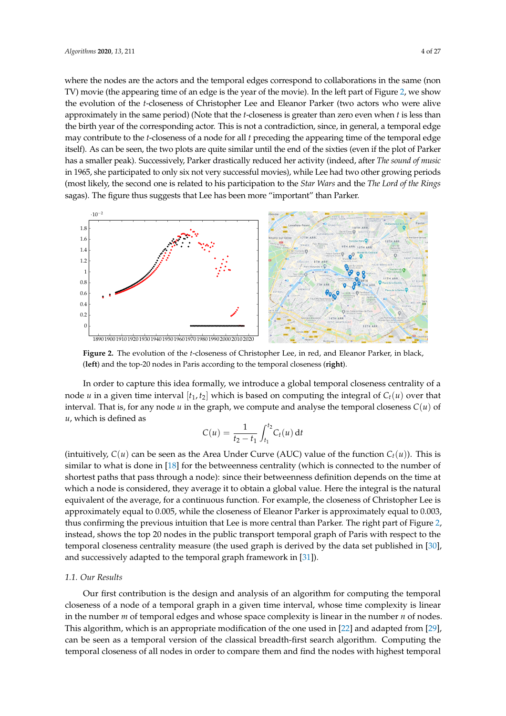where the nodes are the actors and the temporal edges correspond to collaborations in the same (non TV) movie (the appearing time of an edge is the year of the movie). In the left part of Figure [2,](#page-3-0) we show the evolution of the *t*-closeness of Christopher Lee and Eleanor Parker (two actors who were alive approximately in the same period) (Note that the *t*-closeness is greater than zero even when *t* is less than the birth year of the corresponding actor. This is not a contradiction, since, in general, a temporal edge may contribute to the *t*-closeness of a node for all *t* preceding the appearing time of the temporal edge itself). As can be seen, the two plots are quite similar until the end of the sixties (even if the plot of Parker has a smaller peak). Successively, Parker drastically reduced her activity (indeed, after *The sound of music* in 1965, she participated to only six not very successful movies), while Lee had two other growing periods (most likely, the second one is related to his participation to the *Star Wars* and the *The Lord of the Rings* sagas). The figure thus suggests that Lee has been more "important" than Parker.

<span id="page-3-0"></span>

**Figure 2.** The evolution of the *t*-closeness of Christopher Lee, in red, and Eleanor Parker, in black, (**left**) and the top-20 nodes in Paris according to the temporal closeness (**right**).

In order to capture this idea formally, we introduce a global temporal closeness centrality of a node *u* in a given time interval  $[t_1, t_2]$  which is based on computing the integral of  $C_t(u)$  over that interval. That is, for any node  $u$  in the graph, we compute and analyse the temporal closeness  $C(u)$  of *u*, which is defined as

$$
C(u) = \frac{1}{t_2 - t_1} \int_{t_1}^{t_2} C_t(u) \, \mathrm{d}t
$$

(intuitively,  $C(u)$  can be seen as the Area Under Curve (AUC) value of the function  $C_t(u)$ ). This is similar to what is done in [\[18\]](#page-25-12) for the betweenness centrality (which is connected to the number of shortest paths that pass through a node): since their betweenness definition depends on the time at which a node is considered, they average it to obtain a global value. Here the integral is the natural equivalent of the average, for a continuous function. For example, the closeness of Christopher Lee is approximately equal to 0.005, while the closeness of Eleanor Parker is approximately equal to 0.003, thus confirming the previous intuition that Lee is more central than Parker. The right part of Figure [2,](#page-3-0) instead, shows the top 20 nodes in the public transport temporal graph of Paris with respect to the temporal closeness centrality measure (the used graph is derived by the data set published in [\[30\]](#page-26-1), and successively adapted to the temporal graph framework in [\[31\]](#page-26-2)).

# *1.1. Our Results*

Our first contribution is the design and analysis of an algorithm for computing the temporal closeness of a node of a temporal graph in a given time interval, whose time complexity is linear in the number *m* of temporal edges and whose space complexity is linear in the number *n* of nodes. This algorithm, which is an appropriate modification of the one used in [\[22\]](#page-25-15) and adapted from [\[29\]](#page-26-0), can be seen as a temporal version of the classical breadth-first search algorithm. Computing the temporal closeness of all nodes in order to compare them and find the nodes with highest temporal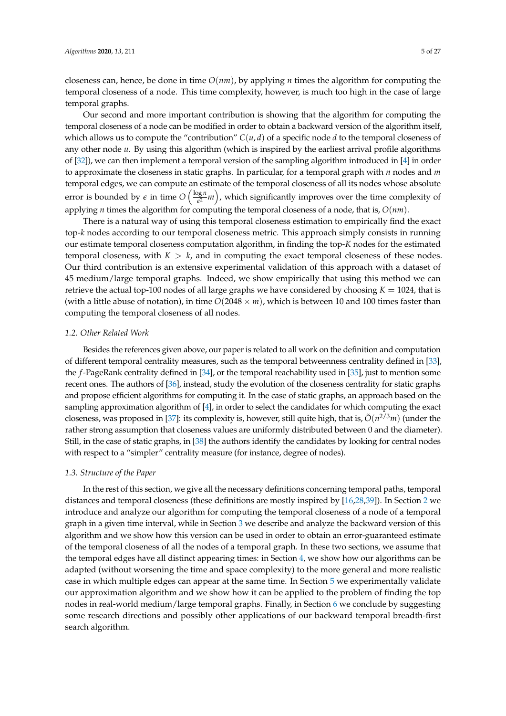closeness can, hence, be done in time *O*(*nm*), by applying *n* times the algorithm for computing the temporal closeness of a node. This time complexity, however, is much too high in the case of large temporal graphs.

Our second and more important contribution is showing that the algorithm for computing the temporal closeness of a node can be modified in order to obtain a backward version of the algorithm itself, which allows us to compute the "contribution"  $C(u, d)$  of a specific node  $d$  to the temporal closeness of any other node *u*. By using this algorithm (which is inspired by the earliest arrival profile algorithms of [\[32\]](#page-26-3)), we can then implement a temporal version of the sampling algorithm introduced in [\[4\]](#page-24-3) in order to approximate the closeness in static graphs. In particular, for a temporal graph with *n* nodes and *m* temporal edges, we can compute an estimate of the temporal closeness of all its nodes whose absolute error is bounded by  $\epsilon$  in time  $O\left(\frac{\log n}{\epsilon^2}\right)$  $\left(\frac{\log n}{\epsilon^2}m\right)$ , which significantly improves over the time complexity of applying *n* times the algorithm for computing the temporal closeness of a node, that is, *O*(*nm*).

There is a natural way of using this temporal closeness estimation to empirically find the exact top-*k* nodes according to our temporal closeness metric. This approach simply consists in running our estimate temporal closeness computation algorithm, in finding the top-*K* nodes for the estimated temporal closeness, with  $K > k$ , and in computing the exact temporal closeness of these nodes. Our third contribution is an extensive experimental validation of this approach with a dataset of 45 medium/large temporal graphs. Indeed, we show empirically that using this method we can retrieve the actual top-100 nodes of all large graphs we have considered by choosing  $K = 1024$ , that is (with a little abuse of notation), in time  $O(2048 \times m)$ , which is between 10 and 100 times faster than computing the temporal closeness of all nodes.

#### *1.2. Other Related Work*

Besides the references given above, our paper is related to all work on the definition and computation of different temporal centrality measures, such as the temporal betweenness centrality defined in [\[33\]](#page-26-4), the *f*-PageRank centrality defined in [\[34\]](#page-26-5), or the temporal reachability used in [\[35\]](#page-26-6), just to mention some recent ones. The authors of [\[36\]](#page-26-7), instead, study the evolution of the closeness centrality for static graphs and propose efficient algorithms for computing it. In the case of static graphs, an approach based on the sampling approximation algorithm of [\[4\]](#page-24-3), in order to select the candidates for which computing the exact closeness, was proposed in [\[37\]](#page-26-8): its complexity is, however, still quite high, that is,  $\tilde{O}(n^{2/3}m)$  (under the rather strong assumption that closeness values are uniformly distributed between 0 and the diameter). Still, in the case of static graphs, in [\[38\]](#page-26-9) the authors identify the candidates by looking for central nodes with respect to a "simpler" centrality measure (for instance, degree of nodes).

## *1.3. Structure of the Paper*

In the rest of this section, we give all the necessary definitions concerning temporal paths, temporal distances and temporal closeness (these definitions are mostly inspired by [\[16,](#page-25-16)[28,](#page-25-14)[39\]](#page-26-10)). In Section [2](#page-6-0) we introduce and analyze our algorithm for computing the temporal closeness of a node of a temporal graph in a given time interval, while in Section  $3$  we describe and analyze the backward version of this algorithm and we show how this version can be used in order to obtain an error-guaranteed estimate of the temporal closeness of all the nodes of a temporal graph. In these two sections, we assume that the temporal edges have all distinct appearing times: in Section [4,](#page-13-0) we show how our algorithms can be adapted (without worsening the time and space complexity) to the more general and more realistic case in which multiple edges can appear at the same time. In Section [5](#page-14-0) we experimentally validate our approximation algorithm and we show how it can be applied to the problem of finding the top nodes in real-world medium/large temporal graphs. Finally, in Section [6](#page-19-0) we conclude by suggesting some research directions and possibly other applications of our backward temporal breadth-first search algorithm.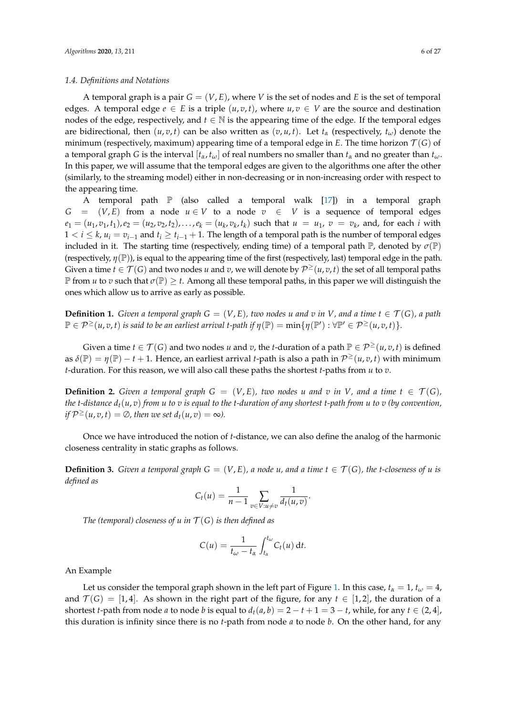## *1.4. Definitions and Notations*

A temporal graph is a pair  $G = (V, E)$ , where V is the set of nodes and E is the set of temporal edges. A temporal edge  $e \in E$  is a triple  $(u, v, t)$ , where  $u, v \in V$  are the source and destination nodes of the edge, respectively, and  $t \in \mathbb{N}$  is the appearing time of the edge. If the temporal edges are bidirectional, then  $(u, v, t)$  can be also written as  $(v, u, t)$ . Let  $t_\alpha$  (respectively,  $t_\omega$ ) denote the minimum (respectively, maximum) appearing time of a temporal edge in  $E$ . The time horizon  $\mathcal{T}(G)$  of a temporal graph *G* is the interval  $[t_\alpha, t_\omega]$  of real numbers no smaller than  $t_\alpha$  and no greater than  $t_\omega$ . In this paper, we will assume that the temporal edges are given to the algorithms one after the other (similarly, to the streaming model) either in non-decreasing or in non-increasing order with respect to the appearing time.

A temporal path  $\mathbb P$  (also called a temporal walk [\[17\]](#page-25-11)) in a temporal graph *G* =  $(V,E)$  from a node  $u \in V$  to a node  $v \in V$  is a sequence of temporal edges  $e_1 = (u_1, v_1, t_1), e_2 = (u_2, v_2, t_2), \ldots, e_k = (u_k, v_k, t_k)$  such that  $u = u_1, v = v_k$ , and, for each i with 1 < *i* ≤ *k*,  $u_i = v_{i-1}$  and  $t_i \ge t_{i-1} + 1$ . The length of a temporal path is the number of temporal edges included in it. The starting time (respectively, ending time) of a temporal path  $\mathbb{P}$ , denoted by  $\sigma(\mathbb{P})$ (respectively, *η*(P)), is equal to the appearing time of the first (respectively, last) temporal edge in the path. Given a time  $t \in \mathcal{T}(G)$  and two nodes *u* and *v*, we will denote by  $\mathcal{P}^{\geq}(u,v,t)$  the set of all temporal paths P from *u* to *v* such that  $\sigma(\mathbb{P}) \geq t$ . Among all these temporal paths, in this paper we will distinguish the ones which allow us to arrive as early as possible.

**Definition 1.** Given a temporal graph  $G = (V, E)$ , two nodes u and v in V, and a time  $t \in \mathcal{T}(G)$ , a path  $\mathbb{P} \in \mathcal{P}^{\geq}(u,v,t)$  is said to be an earliest arrival t-path if  $\eta(\mathbb{P}) = \min\{\eta(\mathbb{P}'): \forall \mathbb{P}' \in \mathcal{P}^{\geq}(u,v,t)\}.$ 

Given a time  $t \in \mathcal{T}(G)$  and two nodes *u* and *v*, the *t*-duration of a path  $\mathbb{P} \in \mathcal{P}^{\geq}(u,v,t)$  is defined as  $\delta(\mathbb{P}) = \eta(\mathbb{P}) - t + 1$ . Hence, an earliest arrival *t*-path is also a path in  $\mathcal{P}^{\geq}(u,v,t)$  with minimum *t*-duration. For this reason, we will also call these paths the shortest *t*-paths from *u* to *v*.

**Definition 2.** Given a temporal graph  $G = (V, E)$ , two nodes *u* and *v* in *V*, and a time  $t \in \mathcal{T}(G)$ , the t-distance  $d_t(u, v)$  from u to v is equal to the t-duration of any shortest t-path from u to v (by convention, *if*  $\mathcal{P}^{\geq}(u,v,t) = \emptyset$ , then we set  $d_t(u,v) = \infty$ ).

Once we have introduced the notion of *t*-distance, we can also define the analog of the harmonic closeness centrality in static graphs as follows.

**Definition 3.** Given a temporal graph  $G = (V, E)$ , a node *u*, and a time  $t \in \mathcal{T}(G)$ , the *t*-closeness of *u* is *defined as*

$$
C_t(u) = \frac{1}{n-1} \sum_{v \in V: u \neq v} \frac{1}{d_t(u,v)}.
$$

*The (temporal) closeness of u in*  $\mathcal{T}(G)$  *is then defined as* 

$$
C(u) = \frac{1}{t_{\alpha} - t_{\alpha}} \int_{t_{\alpha}}^{t_{\alpha}} C_t(u) dt.
$$

An Example

Let us consider the temporal graph shown in the left part of Figure [1.](#page-2-0) In this case,  $t_\alpha = 1$ ,  $t_\omega = 4$ , and  $\mathcal{T}(G) = [1, 4]$ . As shown in the right part of the figure, for any  $t \in [1, 2]$ , the duration of a shortest *t*-path from node *a* to node *b* is equal to  $d_t(a, b) = 2 - t + 1 = 3 - t$ , while, for any  $t \in (2, 4]$ , this duration is infinity since there is no *t*-path from node *a* to node *b*. On the other hand, for any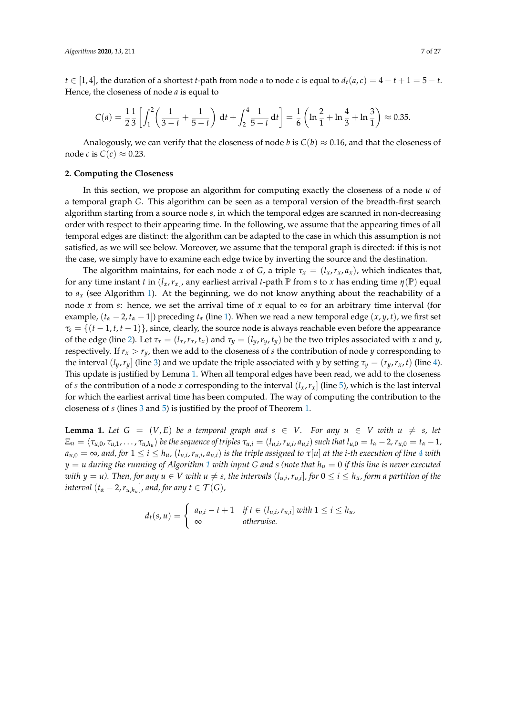$t \in [1, 4]$ , the duration of a shortest *t*-path from node *a* to node *c* is equal to  $d_t(a, c) = 4 - t + 1 = 5 - t$ . Hence, the closeness of node *a* is equal to

$$
C(a) = \frac{1}{2} \frac{1}{3} \left[ \int_1^2 \left( \frac{1}{3-t} + \frac{1}{5-t} \right) dt + \int_2^4 \frac{1}{5-t} dt \right] = \frac{1}{6} \left( \ln \frac{2}{1} + \ln \frac{4}{3} + \ln \frac{3}{1} \right) \approx 0.35.
$$

Analogously, we can verify that the closeness of node *b* is  $C(b) \approx 0.16$ , and that the closeness of node *c* is  $C(c) \approx 0.23$ .

## <span id="page-6-0"></span>**2. Computing the Closeness**

In this section, we propose an algorithm for computing exactly the closeness of a node *u* of a temporal graph *G*. This algorithm can be seen as a temporal version of the breadth-first search algorithm starting from a source node *s*, in which the temporal edges are scanned in non-decreasing order with respect to their appearing time. In the following, we assume that the appearing times of all temporal edges are distinct: the algorithm can be adapted to the case in which this assumption is not satisfied, as we will see below. Moreover, we assume that the temporal graph is directed: if this is not the case, we simply have to examine each edge twice by inverting the source and the destination.

The algorithm maintains, for each node *x* of *G*, a triple  $\tau_x = (l_x, r_x, a_x)$ , which indicates that, for any time instant *t* in  $(l_x, r_x]$ , any earliest arrival *t*-path  $\mathbb P$  from *s* to *x* has ending time  $\eta(\mathbb P)$  equal to  $a<sub>x</sub>$  (see Algorithm [1\)](#page-7-0). At the beginning, we do not know anything about the reachability of a node *x* from *s*: hence, we set the arrival time of *x* equal to  $\infty$  for an arbitrary time interval (for example,  $(t_\alpha - 2, t_\alpha - 1)$  $(t_\alpha - 2, t_\alpha - 1)$  preceding  $t_\alpha$  (line 1). When we read a new temporal edge  $(x, y, t)$ , we first set  $\tau_s = \{(t-1, t, t-1)\}\$ , since, clearly, the source node is always reachable even before the appearance of the edge (line [2\)](#page-7-2). Let  $\tau_x = (l_x, r_x, t_x)$  and  $\tau_y = (l_y, r_y, t_y)$  be the two triples associated with x and y, respectively. If  $r_x > r_y$ , then we add to the closeness of *s* the contribution of node *y* corresponding to the interval  $(l_y, r_y]$  (line [3\)](#page-7-3) and we update the triple associated with *y* by setting  $\tau_y = (r_y, r_x, t)$  (line [4\)](#page-7-4). This update is justified by Lemma [1.](#page-6-1) When all temporal edges have been read, we add to the closeness of *s* the contribution of a node *x* corresponding to the interval  $(l_x, r_x]$  (line [5\)](#page-7-5), which is the last interval for which the earliest arrival time has been computed. The way of computing the contribution to the closeness of *s* (lines [3](#page-7-3) and [5\)](#page-7-5) is justified by the proof of Theorem [1.](#page-8-0)

<span id="page-6-1"></span>**Lemma 1.** Let  $G = (V, E)$  be a temporal graph and  $s \in V$ . For any  $u \in V$  with  $u \neq s$ , let  $E_u = \langle \tau_{u,0}, \tau_{u,1}, \dots, \tau_{u,h_u} \rangle$  be the sequence of triples  $\tau_{u,i} = (l_{u,i}, r_{u,i}, a_{u,i})$  such that  $l_{u,0} = t_\alpha - 2$ ,  $r_{u,0} = t_\alpha - 1$ ,  $a_{u,0} = \infty$ , and, for  $1 \le i \le h_u$ ,  $(l_{u,i}, r_{u,i}, a_{u,i})$  is the triple assigned to  $\tau[u]$  at the i-th execution of line  $4$  with  $y = u$  *during the running of Algorithm* [1](#page-7-0) *with input* G and *s* (note that  $h_u = 0$  *if this line is never executed* with  $y=u$ ). Then, for any  $u\in V$  with  $u\neq s$ , the intervals  $(l_{u,i},r_{u,i}],$  for  $0\leq i\leq h_u$ , form a partition of the *interval*  $(t_{\alpha} - 2, r_{u, h_u}]$ , and, for any  $t \in \mathcal{T}(G)$ ,

$$
d_t(s, u) = \begin{cases} a_{u,i} - t + 1 & \text{if } t \in (l_{u,i}, r_{u,i}] \text{ with } 1 \leq i \leq h_u, \\ \infty & \text{otherwise.} \end{cases}
$$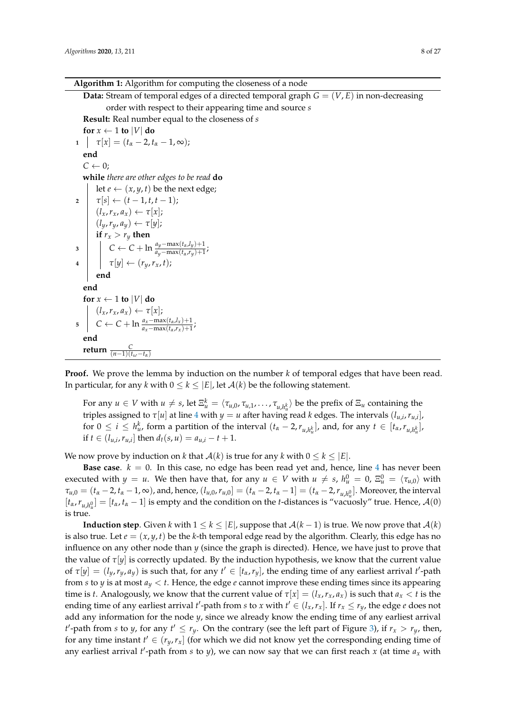|  | <b>Algorithm 1:</b> Algorithm for computing the closeness of a node |  |  |
|--|---------------------------------------------------------------------|--|--|
|  |                                                                     |  |  |

<span id="page-7-2"></span><span id="page-7-1"></span>**Data:** Stream of temporal edges of a directed temporal graph  $G = (V, E)$  in non-decreasing order with respect to their appearing time and source *s* **Result:** Real number equal to the closeness of *s* **for**  $x \leftarrow 1$  **to**  $|V|$  **do 1**  $\tau[x] = (t_{\alpha} - 2, t_{\alpha} - 1, \infty);$ **end**  $C \leftarrow 0$ ; **while** *there are other edges to be read* **do** let  $e \leftarrow (x, y, t)$  be the next edge;  $\tau[s] \leftarrow (t-1, t, t-1);$  $(l_x, r_x, a_x) \leftarrow \tau[x]$ ;  $(l_y, r_y, a_y) \leftarrow \tau[y]$ ; **if**  $r_x > r_y$  **then**  $\mathcal{C} \leftarrow \mathcal{C} + \ln \frac{a_y - \max(t_\alpha, l_y) + 1}{a_y - \max(t_\alpha, r_y) + 1};$ **4**  $\tau[y] \leftarrow (r_y, r_x, t);$ **end end for**  $x \leftarrow 1$  **to** |*V*| **do**  $(l_x, r_x, a_x) \leftarrow \tau[x]$ ;  $\int_{0}^{2\pi} C \leftarrow C + \ln \frac{a_x - \max(t_x, l_x) + 1}{a_x - \max(t_x, r_x) + 1};$ **end return**  $\frac{C}{(n-1)(t_{\omega}-t_{\alpha})}$ 

<span id="page-7-5"></span><span id="page-7-4"></span><span id="page-7-3"></span>**Proof.** We prove the lemma by induction on the number *k* of temporal edges that have been read. In particular, for any *k* with  $0 \le k \le |E|$ , let  $A(k)$  be the following statement.

<span id="page-7-0"></span>For any  $u \in V$  with  $u \neq s$ , let  $\Xi_u^k = \langle \tau_{u,0}, \tau_{u,1}, \ldots, \tau_{u,h_u^k} \rangle$  be the prefix of  $\Xi_u$  containing the triples assigned to  $\tau[u]$  at line [4](#page-7-4) with  $y = u$  after having read *k* edges. The intervals  $(l_{u,i}, r_{u,i}]$ , for  $0 \le i \le h_u^k$ , form a partition of the interval  $(t_\alpha - 2, r_{u,h_u^k}]$ , and, for any  $t \in [t_\alpha, r_{u,h_u^k}]$ ,  $\text{if } t \in (l_{u,i}, r_{u,i}] \text{ then } d_t(s, u) = a_{u,i} - t + 1.$ 

We now prove by induction on *k* that  $A(k)$  is true for any *k* with  $0 \le k \le |E|$ .

**Base case.**  $k = 0$ . In this case, no edge has been read yet and, hence, line [4](#page-7-4) has never been executed with  $y = u$ . We then have that, for any  $u \in V$  with  $u \neq s$ ,  $h_u^0 = 0$ ,  $\Xi_u^0 = \langle \tau_{u,0} \rangle$  with  $\tau_{u,0}=(t_{\alpha}-2,t_{\alpha}-1,\infty)$ , and, hence,  $(l_{u,0},r_{u,0}]=(t_{\alpha}-2,t_{\alpha}-1]=(t_{\alpha}-2,r_{u,h_{u}^0}]$ . Moreover, the interval  $[t_\alpha, r_{u,h_u^0}] = [t_\alpha, t_\alpha - 1]$  is empty and the condition on the *t*-distances is "vacuosly" true. Hence,  $\mathcal{A}(0)$ is true.

**Induction step**. Given *k* with  $1 \le k \le |E|$ , suppose that  $\mathcal{A}(k-1)$  is true. We now prove that  $\mathcal{A}(k)$ is also true. Let  $e = (x, y, t)$  be the *k*-th temporal edge read by the algorithm. Clearly, this edge has no influence on any other node than *y* (since the graph is directed). Hence, we have just to prove that the value of  $\tau[y]$  is correctly updated. By the induction hypothesis, we know that the current value of  $\tau[y] = (l_y, r_y, a_y)$  is such that, for any  $t' \in [t_\alpha, r_y]$ , the ending time of any earliest arrival  $t'$ -path from *s* to *y* is at most  $a_y < t$ . Hence, the edge *e* cannot improve these ending times since its appearing time is *t*. Analogously, we know that the current value of  $\tau[x] = (l_x, r_x, a_x)$  is such that  $a_x < t$  is the ending time of any earliest arrival *t*'-path from *s* to *x* with  $t' \in (l_x, r_x]$ . If  $r_x \le r_y$ , the edge *e* does not add any information for the node *y*, since we already know the ending time of any earliest arrival *t*'-path from *s* to *y*, for any  $t' \leq r_y$ . On the contrary (see the left part of Figure [3\)](#page-8-1), if  $r_x > r_y$ , then, for any time instant  $t' \in (r_y, r_x]$  (for which we did not know yet the corresponding ending time of any earliest arrival  $t'$ -path from  $s$  to  $y$ ), we can now say that we can first reach  $x$  (at time  $a_x$  with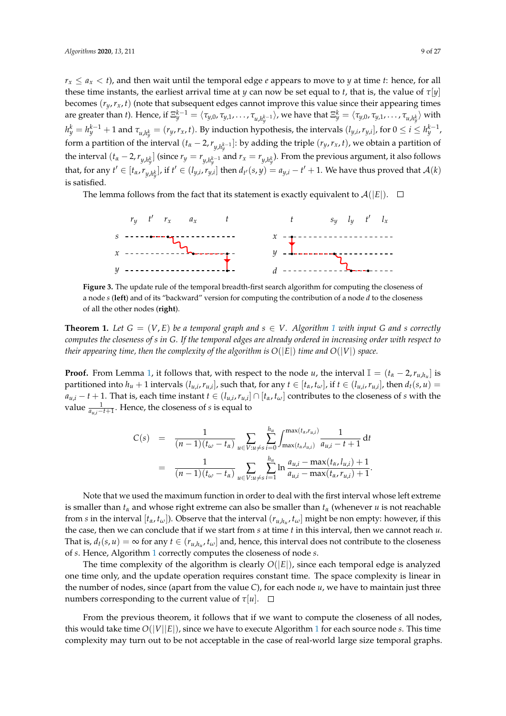$r_x \le a_x < t$ , and then wait until the temporal edge *e* appears to move to *y* at time *t*: hence, for all these time instants, the earliest arrival time at *y* can now be set equal to *t*, that is, the value of  $\tau[y]$ becomes (*ry*,*rx*, *t*) (note that subsequent edges cannot improve this value since their appearing times are greater than t). Hence, if  $\Xi_{y}^{k-1}=\langle \tau_{y,0},\tau_{y,1},\ldots,\tau_{u,h_y^{k-1}}\rangle$ , we have that  $\Xi_{y}^{k}=\langle \tau_{y,0},\tau_{y,1},\ldots,\tau_{u,h_y^{k}}\rangle$  with  $h_y^k=h_y^{k-1}+1$  and  $\tau_{u,h_y^k}=(r_y,r_x,t).$  By induction hypothesis, the intervals  $(l_{y,i},r_{y,i}],$  for  $0\leq i\leq h_y^{k-1},$ form a partition of the interval  $(t_\alpha-2,r_{y,h_y^{k-1}}]$ : by adding the triple  $(r_y,r_x,t)$ , we obtain a partition of the interval  $(t_\alpha-2,r_{y,h_y^k}]$  (since  $r_y=r_{y,h_y^{k-1}}$  and  $r_x=r_{y,h_y^k}$ ). From the previous argument, it also follows that, for any  $t'\in[t_\alpha,r_{y,h_y^k}]$ , if  $t'\in(l_{y,i},r_{y,i}]$  then  $d_{t'}(s,y)=a_{y,i}-t'+1.$  We have thus proved that  $\mathcal{A}(k)$ is satisfied.

<span id="page-8-1"></span>The lemma follows from the fact that its statement is exactly equivalent to  $\mathcal{A}(|E|)$ .  $\Box$ 



**Figure 3.** The update rule of the temporal breadth-first search algorithm for computing the closeness of a node *s* (**left**) and of its "backward" version for computing the contribution of a node *d* to the closeness of all the other nodes (**right**).

<span id="page-8-0"></span>**Theorem [1](#page-7-0).** Let  $G = (V, E)$  be a temporal graph and  $s \in V$ . Algorithm 1 with input G and *s* correctly *computes the closeness of s in G. If the temporal edges are already ordered in increasing order with respect to their appearing time, then the complexity of the algorithm is O*(|*E*|) *time and O*(|*V*|) *space.*

**Proof.** From Lemma [1,](#page-6-1) it follows that, with respect to the node *u*, the interval  $\mathbb{I} = (t_{\alpha} - 2, r_{u,h_u}]$  is partitioned into  $h_u+1$  intervals  $(l_{u,i},r_{u,i}]$ , such that, for any  $t\in[t_\alpha,t_\omega]$ , if  $t\in(l_{u,i},r_{u,i}]$ , then  $d_t(s,u)=$  $a_{u,i} - t + 1$ . That is, each time instant  $t \in (l_{u,i}, r_{u,i}] \cap [t_{\alpha}, t_{\omega}]$  contributes to the closeness of *s* with the value  $\frac{1}{a_{u,i}-t+1}$ . Hence, the closeness of *s* is equal to

$$
C(s) = \frac{1}{(n-1)(t_{\omega} - t_{\alpha})} \sum_{u \in V: u \neq s} \sum_{i=0}^{h_u} \int_{\max(t_{\alpha}, t_{u,i})}^{\max(t_{\alpha}, t_{u,i})} \frac{1}{a_{u,i} - t + 1} dt
$$
  
= 
$$
\frac{1}{(n-1)(t_{\omega} - t_{\alpha})} \sum_{u \in V: u \neq s} \sum_{i=1}^{h_u} \ln \frac{a_{u,i} - \max(t_{\alpha}, t_{u,i}) + 1}{a_{u,i} - \max(t_{\alpha}, r_{u,i}) + 1}.
$$

Note that we used the maximum function in order to deal with the first interval whose left extreme is smaller than  $t_\alpha$  and whose right extreme can also be smaller than  $t_\alpha$  (whenever *u* is not reachable from *s* in the interval  $[t_\alpha, t_\omega]$ ). Observe that the interval  $(r_{u,h_u}, t_\omega]$  might be non empty: however, if this the case, then we can conclude that if we start from *s* at time *t* in this interval, then we cannot reach *u*. That is,  $d_t(s, u) = \infty$  for any  $t \in (r_{u, h_u}, t_\omega]$  and, hence, this interval does not contribute to the closeness of *s*. Hence, Algorithm [1](#page-7-0) correctly computes the closeness of node *s*.

The time complexity of the algorithm is clearly  $O(|E|)$ , since each temporal edge is analyzed one time only, and the update operation requires constant time. The space complexity is linear in the number of nodes, since (apart from the value *C*), for each node *u*, we have to maintain just three numbers corresponding to the current value of  $\tau[u]$ .  $\square$ 

From the previous theorem, it follows that if we want to compute the closeness of all nodes, this would take time  $O(|V||E|)$ , since we have to execute Algorithm [1](#page-7-0) for each source node *s*. This time complexity may turn out to be not acceptable in the case of real-world large size temporal graphs.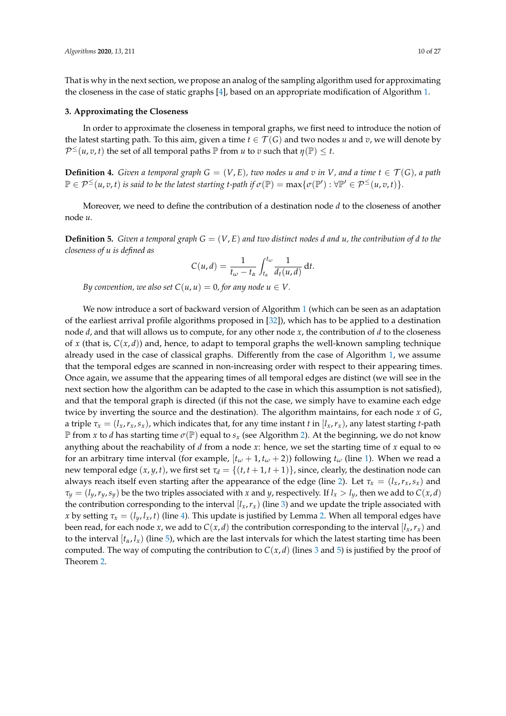That is why in the next section, we propose an analog of the sampling algorithm used for approximating the closeness in the case of static graphs [\[4\]](#page-24-3), based on an appropriate modification of Algorithm [1.](#page-7-0)

## <span id="page-9-0"></span>**3. Approximating the Closeness**

In order to approximate the closeness in temporal graphs, we first need to introduce the notion of the latest starting path. To this aim, given a time  $t \in \mathcal{T}(G)$  and two nodes *u* and *v*, we will denote by  $\mathcal{P}^{\leq}(u,v,t)$  the set of all temporal paths  $\mathbb P$  from  $u$  to  $v$  such that  $\eta(\mathbb P)\leq t$ .

**Definition 4.** Given a temporal graph  $G = (V, E)$ , two nodes *u* and *v* in V, and a time  $t \in \mathcal{T}(G)$ , a path  $\mathbb{P} \in \mathcal{P}^{\leq}(u,v,t)$  is said to be the latest starting t-path if  $\sigma(\mathbb{P}) = \max\{\sigma(\mathbb{P}'): \forall \mathbb{P}' \in \mathcal{P}^{\leq}(u,v,t)\}.$ 

Moreover, we need to define the contribution of a destination node *d* to the closeness of another node *u*.

**Definition 5.** Given a temporal graph  $G = (V, E)$  and two distinct nodes *d* and *u*, the contribution of *d* to the *closeness of u is defined as*

$$
C(u,d) = \frac{1}{t_{\omega} - t_{\alpha}} \int_{t_{\alpha}}^{t_{\omega}} \frac{1}{d_t(u,d)} dt.
$$

*By convention, we also set*  $C(u, u) = 0$ *, for any node*  $u \in V$ *.* 

We now introduce a sort of backward version of Algorithm [1](#page-7-0) (which can be seen as an adaptation of the earliest arrival profile algorithms proposed in [\[32\]](#page-26-3)), which has to be applied to a destination node *d*, and that will allows us to compute, for any other node *x*, the contribution of *d* to the closeness of *x* (that is,  $C(x, d)$ ) and, hence, to adapt to temporal graphs the well-known sampling technique already used in the case of classical graphs. Differently from the case of Algorithm [1,](#page-7-0) we assume that the temporal edges are scanned in non-increasing order with respect to their appearing times. Once again, we assume that the appearing times of all temporal edges are distinct (we will see in the next section how the algorithm can be adapted to the case in which this assumption is not satisfied), and that the temporal graph is directed (if this not the case, we simply have to examine each edge twice by inverting the source and the destination). The algorithm maintains, for each node *x* of *G*, a triple  $\tau_x = (l_x, r_x, s_x)$ , which indicates that, for any time instant *t* in  $[l_x, r_x)$ , any latest starting *t*-path P from *x* to *d* has starting time  $\sigma(\mathbb{P})$  equal to  $s_x$  (see Algorithm [2\)](#page-10-0). At the beginning, we do not know anything about the reachability of *d* from a node *x*: hence, we set the starting time of *x* equal to  $\infty$ for an arbitrary time interval (for example,  $[t_\omega + 1, t_\omega + 2)$ ) following  $t_\omega$  (line [1\)](#page-10-1). When we read a new temporal edge  $(x, y, t)$ , we first set  $\tau_d = \{(t, t+1, t+1)\}\$ , since, clearly, the destination node can always reach itself even starting after the appearance of the edge (line [2\)](#page-10-2). Let  $\tau_x = (l_x, r_x, s_x)$  and  $\tau_y = (l_y, r_y, s_y)$  be the two triples associated with x and y, respectively. If  $l_x > l_y$ , then we add to  $C(x, d)$ the contribution corresponding to the interval  $[l_x, r_x)$  (line [3\)](#page-10-3) and we update the triple associated with *x* by setting  $\tau_x = (l_y, l_x, t)$  (line [4\)](#page-10-4). This update is justified by Lemma [2.](#page-10-5) When all temporal edges have been read, for each node *x*, we add to  $C(x, d)$  the contribution corresponding to the interval  $[I_x, r_x]$  and to the interval  $[t_{\alpha}, I_{\alpha}]$  (line [5\)](#page-10-6), which are the last intervals for which the latest starting time has been computed. The way of computing the contribution to  $C(x, d)$  (lines [3](#page-10-3) and [5\)](#page-10-6) is justified by the proof of Theorem [2.](#page-11-0)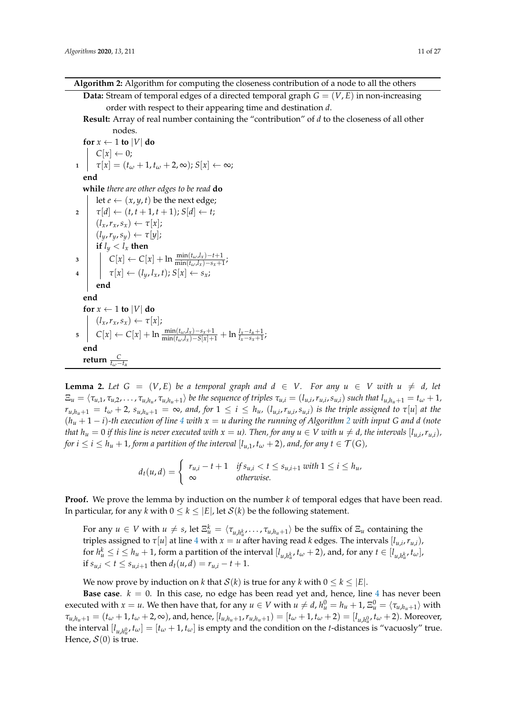**Algorithm 2:** Algorithm for computing the closeness contribution of a node to all the others

**Data:** Stream of temporal edges of a directed temporal graph  $G = (V, E)$  in non-increasing order with respect to their appearing time and destination *d*.

**Result:** Array of real number containing the "contribution" of *d* to the closeness of all other nodes.

<span id="page-10-3"></span><span id="page-10-2"></span><span id="page-10-1"></span>for 
$$
x \leftarrow 1
$$
 to  $|V|$  do  
\n
$$
\begin{array}{c} C[x] \leftarrow 0; \\ \tau[x] = (t_{\omega} + 1, t_{\omega} + 2, \infty); S[x] \leftarrow \infty; \\ \text{end} \end{array}
$$
\nwhile there are other edges to be read do  
\n
$$
\begin{array}{c} let e \leftarrow (x, y, t) be the next edge; \\ \tau[d] \leftarrow (t, t + 1, t + 1); S[d] \leftarrow t; \\ (l_x, r_x, s_x) \leftarrow \tau[x]; \\ (l_y, r_y, s_y) \leftarrow \tau[y]; \\ \text{if } l_y < l_x \text{ then} \end{array}
$$
\n3  
\n
$$
\begin{array}{c} C[x] \leftarrow C[x] + \ln \frac{\min(t_{\omega}, l_x) - t + 1}{\min(t_{\omega}, l_x) - s_x + 1}; \\ \tau[x] \leftarrow (l_y, l_x, t); S[x] \leftarrow s_x; \\ \text{end} \end{array}
$$
\n4  
\nand  
\nfor  $x \leftarrow 1$  to  $|V|$  do  
\n
$$
\begin{array}{c} (l_x, r_x, s_x) \leftarrow \tau[x]; \\ C[x] \leftarrow C[x] + \ln \frac{\min(t_{\omega}, l_x) - s_x + 1}{\min(t_{\omega}, l_x) - S[x] + 1} + \ln \frac{l_x - t_{\alpha} + 1}{l_x - s_x + 1}; \\ \text{end} \end{array}
$$
\n5  
\nreturn  $\frac{C}{t_{\omega} - t_{\alpha}}$ 

<span id="page-10-6"></span><span id="page-10-5"></span><span id="page-10-4"></span><span id="page-10-0"></span>**Lemma 2.** Let  $G = (V, E)$  be a temporal graph and  $d \in V$ . For any  $u \in V$  with  $u \neq d$ , let  $E_u = \langle \tau_{u,1}, \tau_{u,2}, \dots, \tau_{u,h_{u}}, \tau_{u,h_{u}+1} \rangle$  be the sequence of triples  $\tau_{u,i} = (l_{u,i}, r_{u,i}, s_{u,i})$  such that  $l_{u,h_u+1} = t_\omega + 1$ ,  $r_{u,h_u+1} = t_\omega + 2$ ,  $s_{u,h_u+1} = \infty$ , and, for  $1 \leq i \leq h_u$ ,  $(l_{u,i},r_{u,i},s_{u,i})$  is the triple assigned to  $\tau[u]$  at the  $(h<sub>u</sub>+1-i)$ -th execution of line [4](#page-10-4) with  $x = u$  during the running of Algorithm [2](#page-10-0) with input G and *d* (note that  $h_u = 0$  if this line is never executed with  $x = u$ ). Then, for any  $u \in V$  with  $u \neq d$ , the intervals  $[l_{u,i}, r_{u,i})$ , *for*  $i \leq i \leq h_u + 1$ , *form a partition of the interval*  $[l_{u,1}, t_\omega + 2)$ , *and*, *for any*  $t \in \mathcal{T}(G)$ ,

$$
d_t(u,d) = \begin{cases} r_{u,i} - t + 1 & \text{if } s_{u,i} < t \le s_{u,i+1} \text{ with } 1 \le i \le h_u, \\ \infty & \text{otherwise.} \end{cases}
$$

**Proof.** We prove the lemma by induction on the number *k* of temporal edges that have been read. In particular, for any *k* with  $0 \le k \le |E|$ , let  $S(k)$  be the following statement.

For any  $u \in V$  with  $u \neq s$ , let  $\Xi_u^k = \langle \tau_{u,h_u^k}, \ldots, \tau_{u,h_u+1} \rangle$  be the suffix of  $\Xi_u$  containing the triples assigned to  $\tau[u]$  at line [4](#page-10-4) with  $x = u$  after having read *k* edges. The intervals  $[l_{u,i}, r_{u,i})$ , for  $h_u^k \le i \le h_u + 1$ , form a partition of the interval  $[l_{u,h_u^k}, t_w + 2)$ , and, for any  $t \in [l_{u,h_u^k}, t_w]$ , if  $s_{u,i} < t \leq s_{u,i+1}$  then  $d_t(u,d) = r_{u,i} - t + 1$ .

We now prove by induction on *k* that  $S(k)$  is true for any *k* with  $0 \le k \le |E|$ .

**Base case.**  $k = 0$ . In this case, no edge has been read yet and, hence, line [4](#page-10-4) has never been executed with  $x = u$ . We then have that, for any  $u \in V$  with  $u \neq d$ ,  $h_u^0 = h_u + 1$ ,  $\Xi_u^0 = \langle \tau_{u, h_u + 1} \rangle$  with  $\tau_{u,h_u+1} = (t_{\omega}+1,t_{\omega}+2,\infty)$ , and, hence,  $[l_{u,h_u+1},r_{u,h_u+1}) = [t_{\omega}+1,t_{\omega}+2) = [l_{u,h_u^0},t_{\omega}+2)$ . Moreover, the interval  $[l_{u,h_u^0}, t_\omega] = [t_\omega + 1, t_\omega]$  is empty and the condition on the *t*-distances is "vacuosly" true. Hence,  $S(0)$  is true.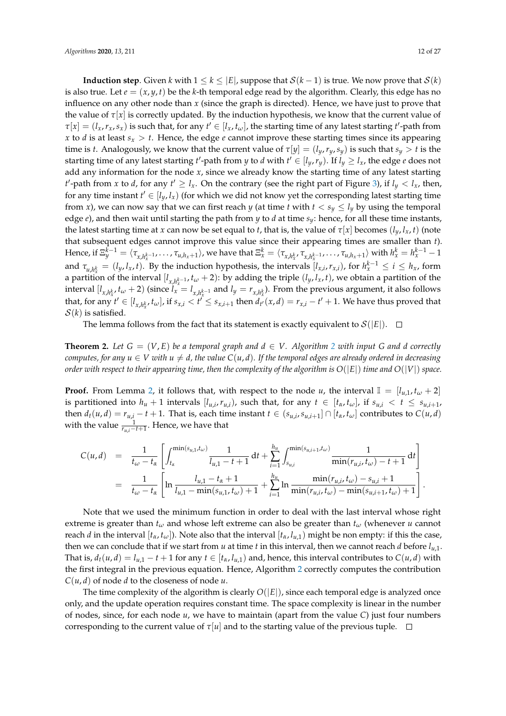**Induction step**. Given *k* with  $1 \le k \le |E|$ , suppose that  $S(k-1)$  is true. We now prove that  $S(k)$ is also true. Let  $e = (x, y, t)$  be the *k*-th temporal edge read by the algorithm. Clearly, this edge has no influence on any other node than *x* (since the graph is directed). Hence, we have just to prove that the value of  $\tau[x]$  is correctly updated. By the induction hypothesis, we know that the current value of  $\tau[x] = (l_x, r_x, s_x)$  is such that, for any  $t' \in [l_x, t_\omega]$ , the starting time of any latest starting  $t'$ -path from *x* to *d* is at least  $s_x > t$ . Hence, the edge *e* cannot improve these starting times since its appearing time is *t*. Analogously, we know that the current value of  $\tau[y] = (l_y, r_y, s_y)$  is such that  $s_y > t$  is the starting time of any latest starting  $t'$ -path from  $y$  to  $d$  with  $t' \in [l_y, r_y)$ . If  $l_y \ge l_x$ , the edge  $e$  does not add any information for the node *x*, since we already know the starting time of any latest starting *t*'-path from *x* to *d*, for any  $t' \ge l_x$ . On the contrary (see the right part of Figure [3\)](#page-8-1), if  $l_y < l_x$ , then, for any time instant  $t' \in [l_y, l_x)$  (for which we did not know yet the corresponding latest starting time from *x*), we can now say that we can first reach *y* (at time *t* with  $t < s_y \le l_y$  by using the temporal edge *e*), and then wait until starting the path from *y* to *d* at time *sy*: hence, for all these time instants, the latest starting time at *x* can now be set equal to *t*, that is, the value of  $\tau[x]$  becomes  $(l_y, l_x, t)$  (note that subsequent edges cannot improve this value since their appearing times are smaller than *t*). Hence, if  $\Xi_y^{k-1}=\langle\tau_{x,h_x^{k-1}},\ldots,\tau_{u,h_x+1}\rangle$ , we have that  $\Xi_x^k=\langle\tau_{x,h_x^k},\tau_{x,h_x^{k-1}},\ldots,\tau_{u,h_x+1}\rangle$  with  $h_x^k=h_x^{k-1}-1$ and  $\tau_{u,h_x^k} = (l_y, l_x, t)$ . By the induction hypothesis, the intervals  $[l_{x,i}, r_{x,i})$ , for  $h_x^{k-1} \le i \le h_x$ , form a partition of the interval  $[l_{x,h_x^{k-1}}, t_\omega + 2)$ : by adding the triple  $(l_y, l_x, t)$ , we obtain a partition of the interval  $[l_{x,h_x^k}, t_\omega + 2)$  (since  $l_x = l_{x,h_x^{k-1}}$  and  $l_y = r_{x,h_x^k}$ ). From the previous argument, it also follows that, for any  $t' \in [l_{x,h_x^k}, t_\omega]$ , if  $s_{x,i} < t' \leq s_{x,i+1}$  then  $d_{t'}(x,d) = r_{x,i} - t' + 1$ . We have thus proved that  $S(k)$  is satisfied.

The lemma follows from the fact that its statement is exactly equivalent to  $S(|E|)$ .  $\Box$ 

<span id="page-11-0"></span>**Theorem [2](#page-10-0).** Let  $G = (V, E)$  be a temporal graph and  $d \in V$ . Algorithm 2 with input G and d correctly *computes, for any*  $u \in V$  *with*  $u \neq d$ , the value  $C(u, d)$ . If the temporal edges are already ordered in decreasing *order with respect to their appearing time, then the complexity of the algorithm is*  $O(|E|)$  *<i>time and*  $O(|V|)$  *space.* 

**Proof.** From Lemma [2,](#page-10-5) it follows that, with respect to the node *u*, the interval  $\mathbb{I} = [l_{u,1}, t_w + 2]$ is partitioned into  $h_u + 1$  intervals  $[l_{u,i}, r_{u,i})$ , such that, for any  $t \in [t_\alpha, t_\omega]$ , if  $s_{u,i} < t \leq s_{u,i+1}$ , then  $d_t(u, d) = r_{u, i} - t + 1$ . That is, each time instant  $t \in (s_{u,i}, s_{u,i+1}] \cap [t_\alpha, t_\omega]$  contributes to  $C(u, d)$ with the value  $\frac{1}{r_{u,i}-t+1}$ . Hence, we have that

$$
C(u,d) = \frac{1}{t_{\omega} - t_{\alpha}} \left[ \int_{t_{\alpha}}^{\min(s_{u,1}, t_{\omega})} \frac{1}{l_{u,1} - t + 1} dt + \sum_{i=1}^{h_u} \int_{s_{u,i}}^{\min(s_{u,i+1}, t_{\omega})} \frac{1}{\min(r_{u,i}, t_{\omega}) - t + 1} dt \right]
$$
  
= 
$$
\frac{1}{t_{\omega} - t_{\alpha}} \left[ \ln \frac{l_{u,1} - t_{\alpha} + 1}{l_{u,1} - \min(s_{u,1}, t_{\omega}) + 1} + \sum_{i=1}^{h_u} \ln \frac{\min(r_{u,i}, t_{\omega}) - s_{u,i} + 1}{\min(r_{u,i}, t_{\omega}) - \min(s_{u,i+1}, t_{\omega}) + 1} \right].
$$

Note that we used the minimum function in order to deal with the last interval whose right extreme is greater than  $t_\omega$  and whose left extreme can also be greater than  $t_\omega$  (whenever *u* cannot reach *d* in the interval  $[t_{\alpha}, t_{\omega}]$ ). Note also that the interval  $[t_{\alpha}, t_{\omega,1}]$  might be non empty: if this the case, then we can conclude that if we start from *u* at time *t* in this interval, then we cannot reach *d* before  $l_{u,1}$ . That is,  $d_t(u, d) = l_{u,1} - t + 1$  for any  $t \in [t_\alpha, l_{u,1})$  and, hence, this interval contributes to  $C(u, d)$  with the first integral in the previous equation. Hence, Algorithm [2](#page-10-0) correctly computes the contribution *C*(*u*, *d*) of node *d* to the closeness of node *u*.

The time complexity of the algorithm is clearly  $O(|E|)$ , since each temporal edge is analyzed once only, and the update operation requires constant time. The space complexity is linear in the number of nodes, since, for each node *u*, we have to maintain (apart from the value *C*) just four numbers corresponding to the current value of  $\tau[u]$  and to the starting value of the previous tuple.  $\Box$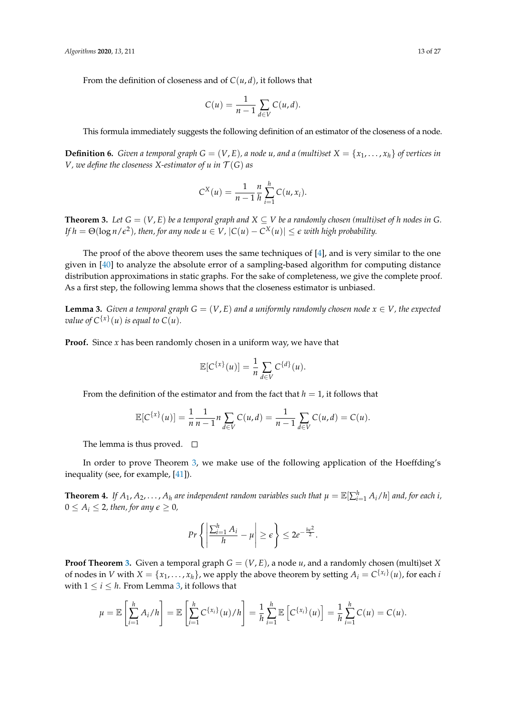From the definition of closeness and of  $C(u, d)$ , it follows that

$$
C(u) = \frac{1}{n-1} \sum_{d \in V} C(u, d).
$$

This formula immediately suggests the following definition of an estimator of the closeness of a node.

**Definition 6.** *Given a temporal graph*  $G = (V, E)$ *, a node u, and a (multi)set*  $X = \{x_1, \ldots, x_h\}$  *of vertices in V*, we define the closeness X-estimator of u in  $\mathcal{T}(G)$  as

$$
C^{X}(u) = \frac{1}{n-1} \frac{n}{h} \sum_{i=1}^{h} C(u, x_{i}).
$$

<span id="page-12-0"></span>**Theorem 3.** Let  $G = (V, E)$  be a temporal graph and  $X \subseteq V$  be a randomly chosen (multi)set of h nodes in G. *If*  $h = \Theta(\log n/\epsilon^2)$ , then, for any node  $u \in V$ ,  $|C(u) - C^X(u)| \leq \epsilon$  with high probability.

The proof of the above theorem uses the same techniques of [\[4\]](#page-24-3), and is very similar to the one given in [\[40\]](#page-26-11) to analyze the absolute error of a sampling-based algorithm for computing distance distribution approximations in static graphs. For the sake of completeness, we give the complete proof. As a first step, the following lemma shows that the closeness estimator is unbiased.

<span id="page-12-1"></span>**Lemma 3.** *Given a temporal graph*  $G = (V, E)$  *and a uniformly randomly chosen node*  $x \in V$ *, the expected value of*  $C^{\{x\}}(u)$  *is equal to*  $C(u)$ *.* 

**Proof.** Since *x* has been randomly chosen in a uniform way, we have that

$$
\mathbb{E}[C^{\{x\}}(u)] = \frac{1}{n} \sum_{d \in V} C^{\{d\}}(u).
$$

From the definition of the estimator and from the fact that  $h = 1$ , it follows that

$$
\mathbb{E}[C^{\{x\}}(u)] = \frac{1}{n} \frac{1}{n-1} n \sum_{d \in V} C(u, d) = \frac{1}{n-1} \sum_{d \in V} C(u, d) = C(u).
$$

The lemma is thus proved.  $\square$ 

In order to prove Theorem [3,](#page-12-0) we make use of the following application of the Hoeffding's inequality (see, for example, [\[41\]](#page-26-12)).

<span id="page-12-2"></span>**Theorem 4.** If  $A_1, A_2, \ldots, A_h$  are independent random variables such that  $\mu = \mathbb{E}[\sum_{i=1}^h A_i/h]$  and, for each *i*,  $0 \leq A_i \leq 2$ , then, for any  $\epsilon \geq 0$ ,

$$
Pr\left\{\left|\frac{\sum_{i=1}^h A_i}{h} - \mu\right| \ge \epsilon\right\} \le 2e^{-\frac{he^2}{2}}.
$$

**Proof Theorem [3.](#page-12-0)** Given a temporal graph  $G = (V, E)$ , a node *u*, and a randomly chosen (multi)set *X* of nodes in *V* with  $X = \{x_1, \ldots, x_h\}$ , we apply the above theorem by setting  $A_i = C^{\{x_i\}}(u)$ , for each *i* with  $1 \le i \le h$ . From Lemma [3,](#page-12-1) it follows that

$$
\mu = \mathbb{E}\left[\sum_{i=1}^h A_i / h\right] = \mathbb{E}\left[\sum_{i=1}^h C^{\{x_i\}}(u) / h\right] = \frac{1}{h} \sum_{i=1}^h \mathbb{E}\left[C^{\{x_i\}}(u)\right] = \frac{1}{h} \sum_{i=1}^h C(u) = C(u).
$$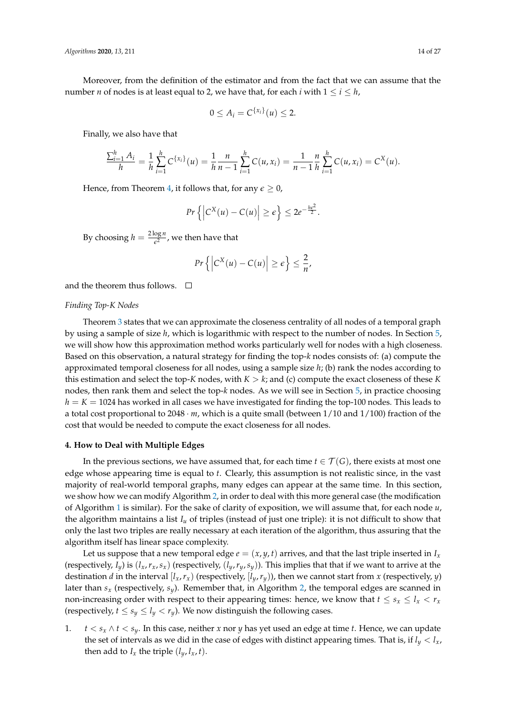Moreover, from the definition of the estimator and from the fact that we can assume that the number *n* of nodes is at least equal to 2, we have that, for each *i* with  $1 \le i \le h$ ,

$$
0\leq A_i=C^{\{x_i\}}(u)\leq 2.
$$

Finally, we also have that

$$
\frac{\sum_{i=1}^{h} A_i}{h} = \frac{1}{h} \sum_{i=1}^{h} C^{\{x_i\}}(u) = \frac{1}{h} \frac{n}{n-1} \sum_{i=1}^{h} C(u, x_i) = \frac{1}{n-1} \frac{n}{h} \sum_{i=1}^{h} C(u, x_i) = C^{X}(u).
$$

Hence, from Theorem [4,](#page-12-2) it follows that, for any  $\epsilon \geq 0$ ,

$$
Pr\left\{ \left| C^X(u) - C(u) \right| \ge \epsilon \right\} \le 2e^{-\frac{hc^2}{2}}.
$$

By choosing  $h = \frac{2 \log n}{c^2}$  $\frac{\log n}{\epsilon^2}$ , we then have that

$$
Pr\left\{ \left| C^X(u) - C(u) \right| \ge \epsilon \right\} \le \frac{2}{n},
$$

and the theorem thus follows.  $\square$ 

## *Finding Top-K Nodes*

Theorem [3](#page-12-0) states that we can approximate the closeness centrality of all nodes of a temporal graph by using a sample of size *h*, which is logarithmic with respect to the number of nodes. In Section [5,](#page-14-0) we will show how this approximation method works particularly well for nodes with a high closeness. Based on this observation, a natural strategy for finding the top-*k* nodes consists of: (a) compute the approximated temporal closeness for all nodes, using a sample size *h*; (b) rank the nodes according to this estimation and select the top-*K* nodes, with  $K > k$ ; and (c) compute the exact closeness of these *K* nodes, then rank them and select the top-*k* nodes. As we will see in Section [5,](#page-14-0) in practice choosing  $h = K = 1024$  has worked in all cases we have investigated for finding the top-100 nodes. This leads to a total cost proportional to 2048 · *m*, which is a quite small (between 1/10 and 1/100) fraction of the cost that would be needed to compute the exact closeness for all nodes.

#### <span id="page-13-0"></span>**4. How to Deal with Multiple Edges**

In the previous sections, we have assumed that, for each time  $t \in \mathcal{T}(G)$ , there exists at most one edge whose appearing time is equal to *t*. Clearly, this assumption is not realistic since, in the vast majority of real-world temporal graphs, many edges can appear at the same time. In this section, we show how we can modify Algorithm [2,](#page-10-0) in order to deal with this more general case (the modification of Algorithm [1](#page-7-0) is similar). For the sake of clarity of exposition, we will assume that, for each node *u*, the algorithm maintains a list  $I_u$  of triples (instead of just one triple): it is not difficult to show that only the last two triples are really necessary at each iteration of the algorithm, thus assuring that the algorithm itself has linear space complexity.

Let us suppose that a new temporal edge  $e = (x, y, t)$  arrives, and that the last triple inserted in  $I_x$ (respectively,  $I_y$ ) is ( $I_x$ , $r_x$ , $s_x$ ) (respectively, ( $I_y$ , $r_y$ , $s_y$ )). This implies that that if we want to arrive at the destination *d* in the interval  $[l_x, r_x)$  (respectively,  $[l_y, r_y)$ ), then we cannot start from *x* (respectively, *y*) later than *s<sup>x</sup>* (respectively, *sy*). Remember that, in Algorithm [2,](#page-10-0) the temporal edges are scanned in non-increasing order with respect to their appearing times: hence, we know that  $t \leq s_x \leq l_x < r_x$ (respectively,  $t \leq s_y \leq l_y < r_y$ ). We now distinguish the following cases.

1.  $t < s_x \wedge t < s_y$ . In this case, neither *x* nor *y* has yet used an edge at time *t*. Hence, we can update the set of intervals as we did in the case of edges with distinct appearing times. That is, if  $l_y < l_x$ , then add to  $I_x$  the triple  $(l_y, l_x, t)$ .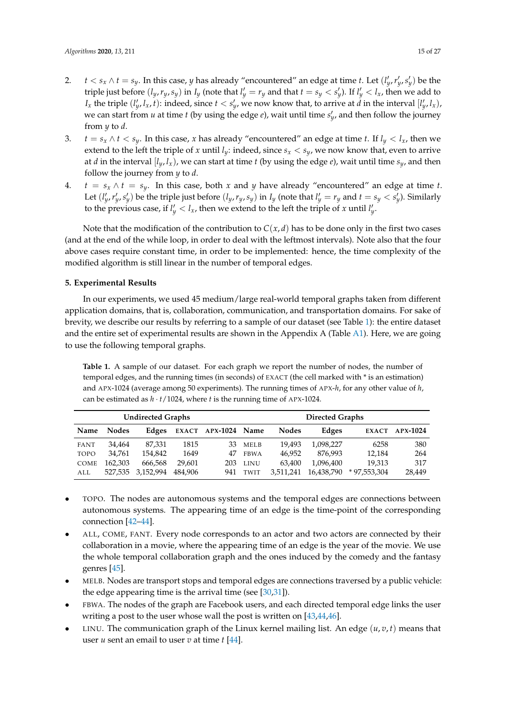- 2. *t*  $\langle s_x \wedge t = s_y$ . In this case, *y* has already "encountered" an edge at time *t*. Let  $(l'_y, r'_y, s'_y)$  be the triple just before  $(l_y,r_y,s_y)$  in  $I_y$  (note that  $l'_y=r_y$  and that  $t=s_y). If  $l'_y < l_x$ , then we add to$  $I_x$  the triple  $(l'_y, l_x, t)$ : indeed, since  $t < s'_y$ , we now know that, to arrive at *d* in the interval  $[l'_y, l_x)$ , we can start from  $u$  at time  $t$  (by using the edge  $e$ ), wait until time  $s'_y$ , and then follow the journey from *y* to *d*.
- 3. *t* =  $s_x \wedge t$  <  $s_y$ . In this case, *x* has already "encountered" an edge at time *t*. If  $l_y$  <  $l_x$ , then we extend to the left the triple of *x* until  $l_y$ : indeed, since  $s_x < s_y$ , we now know that, even to arrive at *d* in the interval  $[l_y, l_x)$ , we can start at time *t* (by using the edge *e*), wait until time  $s_y$ , and then follow the journey from *y* to *d*.
- 4.  $t = s_x \wedge t = s_y$ . In this case, both *x* and *y* have already "encountered" an edge at time *t*. Let  $(l'_y,r'_y,s'_y)$  be the triple just before  $(l_y,r_y,s_y)$  in  $I_y$  (note that  $l'_y=r_y$  and  $t=s_y). Similarly$ to the previous case, if  $l'_y < l_x$ , then we extend to the left the triple of *x* until  $l'_y$ .

Note that the modification of the contribution to  $C(x, d)$  has to be done only in the first two cases (and at the end of the while loop, in order to deal with the leftmost intervals). Note also that the four above cases require constant time, in order to be implemented: hence, the time complexity of the modified algorithm is still linear in the number of temporal edges.

# <span id="page-14-0"></span>**5. Experimental Results**

In our experiments, we used 45 medium/large real-world temporal graphs taken from different application domains, that is, collaboration, communication, and transportation domains. For sake of brevity, we describe our results by referring to a sample of our dataset (see Table [1\)](#page-14-1): the entire dataset and the entire set of experimental results are shown in the Appendix A (Table [A1\)](#page-21-0). Here, we are going to use the following temporal graphs.

<span id="page-14-1"></span>**Table 1.** A sample of our dataset. For each graph we report the number of nodes, the number of temporal edges, and the running times (in seconds) of EXACT (the cell marked with \* is an estimation) and APX-1024 (average among 50 experiments). The running times of APX-*h*, for any other value of *h*, can be estimated as  $h \cdot t/1024$ , where *t* is the running time of APX-1024.

|             |              | <b>Undirected Graphs</b> |         |                     | <b>Directed Graphs</b> |              |            |               |          |  |  |  |
|-------------|--------------|--------------------------|---------|---------------------|------------------------|--------------|------------|---------------|----------|--|--|--|
| Name        | <b>Nodes</b> | Edges                    |         | EXACT APX-1024 Name |                        | <b>Nodes</b> | Edges      | <b>EXACT</b>  | APX-1024 |  |  |  |
| <b>FANT</b> | 34.464       | 87.331                   | 1815    | 33.                 | MELB                   | 19.493       | 1.098.227  | 6258          | 380      |  |  |  |
| <b>TOPO</b> | 34.761       | 154.842                  | 1649    | 47                  | FBWA                   | 46.952       | 876.993    | 12.184        | 264      |  |  |  |
| COME        | 162.303      | 666.568                  | 29.601  | 203                 | LINU                   | 63.400       | 1.096.400  | 19.313        | 317      |  |  |  |
| ALL         | 527,535      | 3,152,994                | 484.906 | 941                 | <b>TWIT</b>            | 3.511.241    | 16,438,790 | $*97.553.304$ | 28,449   |  |  |  |

- TOPO. The nodes are autonomous systems and the temporal edges are connections between autonomous systems. The appearing time of an edge is the time-point of the corresponding connection [\[42–](#page-26-13)[44\]](#page-26-14).
- ALL, COME, FANT. Every node corresponds to an actor and two actors are connected by their collaboration in a movie, where the appearing time of an edge is the year of the movie. We use the whole temporal collaboration graph and the ones induced by the comedy and the fantasy genres [\[45\]](#page-26-15).
- MELB. Nodes are transport stops and temporal edges are connections traversed by a public vehicle: the edge appearing time is the arrival time (see  $[30,31]$  $[30,31]$ ).
- FBWA. The nodes of the graph are Facebook users, and each directed temporal edge links the user writing a post to the user whose wall the post is written on [\[43,](#page-26-16)[44,](#page-26-14)[46\]](#page-26-17).
- LINU. The communication graph of the Linux kernel mailing list. An edge  $(u, v, t)$  means that user *u* sent an email to user *v* at time *t* [\[44\]](#page-26-14).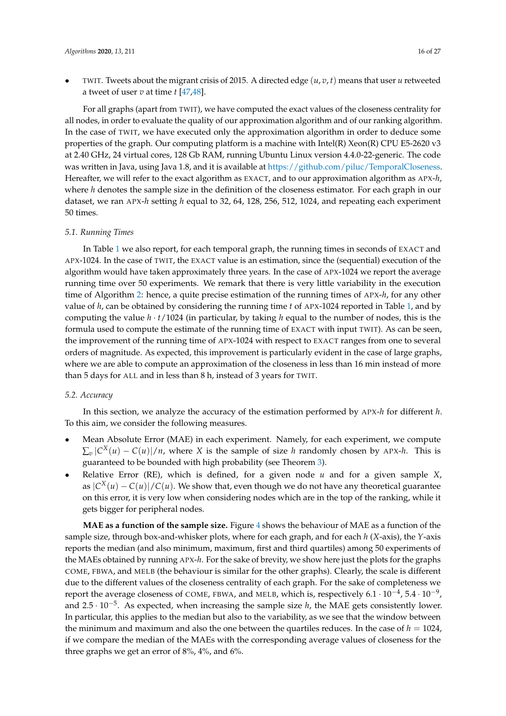• TWIT. Tweets about the migrant crisis of 2015. A directed edge (*u*, *v*, *t*) means that user *u* retweeted a tweet of user *v* at time *t* [\[47,](#page-26-18)[48\]](#page-26-19).

For all graphs (apart from TWIT), we have computed the exact values of the closeness centrality for all nodes, in order to evaluate the quality of our approximation algorithm and of our ranking algorithm. In the case of TWIT, we have executed only the approximation algorithm in order to deduce some properties of the graph. Our computing platform is a machine with Intel(R) Xeon(R) CPU E5-2620 v3 at 2.40 GHz, 24 virtual cores, 128 Gb RAM, running Ubuntu Linux version 4.4.0-22-generic. The code was written in Java, using Java 1.8, and it is available at [https://github.com/piluc/TemporalCloseness.](https://github.com/piluc/TemporalCloseness) Hereafter, we will refer to the exact algorithm as EXACT, and to our approximation algorithm as APX-*h*, where *h* denotes the sample size in the definition of the closeness estimator. For each graph in our dataset, we ran APX-*h* setting *h* equal to 32, 64, 128, 256, 512, 1024, and repeating each experiment 50 times.

## *5.1. Running Times*

In Table [1](#page-14-1) we also report, for each temporal graph, the running times in seconds of EXACT and APX-1024. In the case of TWIT, the EXACT value is an estimation, since the (sequential) execution of the algorithm would have taken approximately three years. In the case of APX-1024 we report the average running time over 50 experiments. We remark that there is very little variability in the execution time of Algorithm [2:](#page-10-0) hence, a quite precise estimation of the running times of APX-*h*, for any other value of *h*, can be obtained by considering the running time *t* of APX-1024 reported in Table [1,](#page-14-1) and by computing the value *h* · *t*/1024 (in particular, by taking *h* equal to the number of nodes, this is the formula used to compute the estimate of the running time of EXACT with input TWIT). As can be seen, the improvement of the running time of APX-1024 with respect to EXACT ranges from one to several orders of magnitude. As expected, this improvement is particularly evident in the case of large graphs, where we are able to compute an approximation of the closeness in less than 16 min instead of more than 5 days for ALL and in less than 8 h, instead of 3 years for TWIT.

# *5.2. Accuracy*

In this section, we analyze the accuracy of the estimation performed by APX-*h* for different *h*. To this aim, we consider the following measures.

- Mean Absolute Error (MAE) in each experiment. Namely, for each experiment, we compute  $\sum_{v} |C^{X}(u) - C(u)|/n$ , where *X* is the sample of size *h* randomly chosen by APX-*h*. This is guaranteed to be bounded with high probability (see Theorem [3\)](#page-12-0).
- Relative Error (RE), which is defined, for a given node *u* and for a given sample *X*, as  $|C^X(u) - C(u)|/C(u)$ . We show that, even though we do not have any theoretical guarantee on this error, it is very low when considering nodes which are in the top of the ranking, while it gets bigger for peripheral nodes.

**MAE as a function of the sample size.** Figure [4](#page-16-0) shows the behaviour of MAE as a function of the sample size, through box-and-whisker plots, where for each graph, and for each *h* (*X*-axis), the *Y*-axis reports the median (and also minimum, maximum, first and third quartiles) among 50 experiments of the MAEs obtained by running APX-*h*. For the sake of brevity, we show here just the plots for the graphs COME, FBWA, and MELB (the behaviour is similar for the other graphs). Clearly, the scale is different due to the different values of the closeness centrality of each graph. For the sake of completeness we report the average closeness of COME, FBWA, and MELB, which is, respectively  $6.1 \cdot 10^{-4}$ ,  $5.4 \cdot 10^{-9}$ , and 2.5 · <sup>10</sup>−<sup>5</sup> . As expected, when increasing the sample size *h*, the MAE gets consistently lower. In particular, this applies to the median but also to the variability, as we see that the window between the minimum and maximum and also the one between the quartiles reduces. In the case of  $h = 1024$ , if we compare the median of the MAEs with the corresponding average values of closeness for the three graphs we get an error of 8%, 4%, and 6%.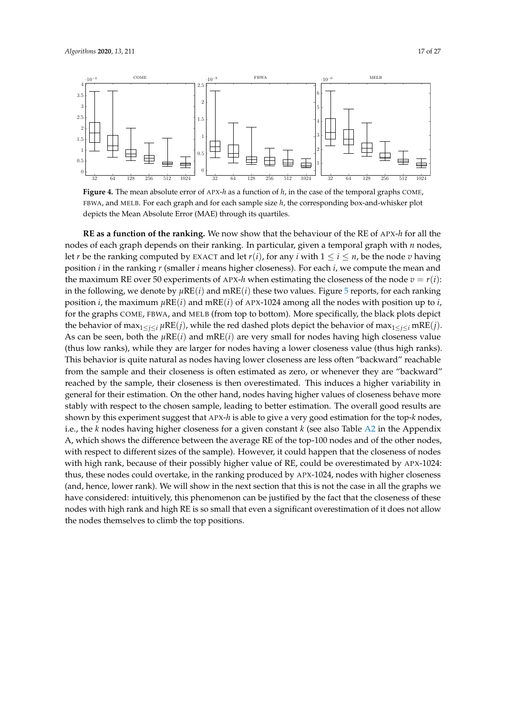<span id="page-16-0"></span>

**Figure 4.** The mean absolute error of APX-*h* as a function of *h*, in the case of the temporal graphs COME, FBWA, and MELB. For each graph and for each sample size *h*, the corresponding box-and-whisker plot depicts the Mean Absolute Error (MAE) through its quartiles.

**RE as a function of the ranking.** We now show that the behaviour of the RE of APX-*h* for all the nodes of each graph depends on their ranking. In particular, given a temporal graph with *n* nodes, let *r* be the ranking computed by EXACT and let  $r(i)$ , for any *i* with  $1 \le i \le n$ , be the node *v* having position *i* in the ranking *r* (smaller *i* means higher closeness). For each *i*, we compute the mean and the maximum RE over 50 experiments of APX-*h* when estimating the closeness of the node  $v = r(i)$ : in the following, we denote by  $\mu$ RE(*i*) and mRE(*i*) these two values. Figure [5](#page-17-0) reports, for each ranking position *i*, the maximum  $\mu$ RE(*i*) and mRE(*i*) of APX-1024 among all the nodes with position up to *i*, for the graphs COME, FBWA, and MELB (from top to bottom). More specifically, the black plots depict the behavior of max<sub>1≤*j*≤*i*</sub>  $\mu$ RE(*j*), while the red dashed plots depict the behavior of max<sub>1≤*j*≤*i*</sub> mRE(*j*). As can be seen, both the  $\mu$ RE(*i*) and mRE(*i*) are very small for nodes having high closeness value (thus low ranks), while they are larger for nodes having a lower closeness value (thus high ranks). This behavior is quite natural as nodes having lower closeness are less often "backward" reachable from the sample and their closeness is often estimated as zero, or whenever they are "backward" reached by the sample, their closeness is then overestimated. This induces a higher variability in general for their estimation. On the other hand, nodes having higher values of closeness behave more stably with respect to the chosen sample, leading to better estimation. The overall good results are shown by this experiment suggest that APX-*h* is able to give a very good estimation for the top-*k* nodes, i.e., the *k* nodes having higher closeness for a given constant *k* (see also Table [A2](#page-22-0) in the Appendix A, which shows the difference between the average RE of the top-100 nodes and of the other nodes, with respect to different sizes of the sample). However, it could happen that the closeness of nodes with high rank, because of their possibly higher value of RE, could be overestimated by APX-1024: thus, these nodes could overtake, in the ranking produced by APX-1024, nodes with higher closeness (and, hence, lower rank). We will show in the next section that this is not the case in all the graphs we have considered: intuitively, this phenomenon can be justified by the fact that the closeness of these nodes with high rank and high RE is so small that even a significant overestimation of it does not allow the nodes themselves to climb the top positions.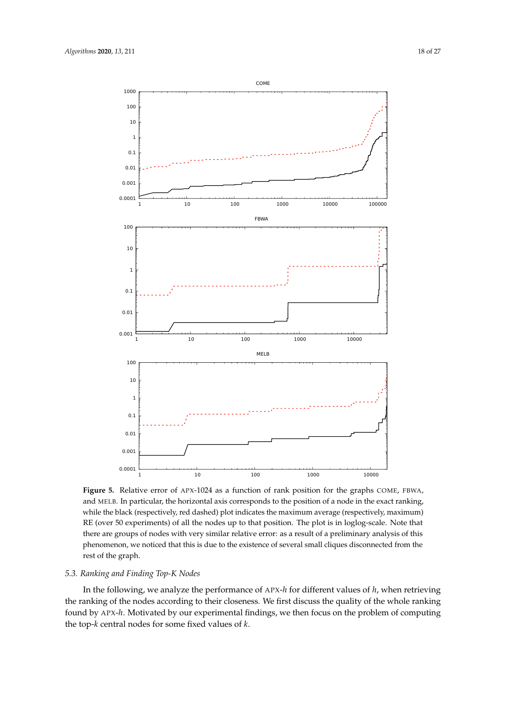<span id="page-17-0"></span>

**Figure 5.** Relative error of APX-1024 as a function of rank position for the graphs COME, FBWA, and MELB. In particular, the horizontal axis corresponds to the position of a node in the exact ranking, while the black (respectively, red dashed) plot indicates the maximum average (respectively, maximum) RE (over 50 experiments) of all the nodes up to that position. The plot is in loglog-scale. Note that there are groups of nodes with very similar relative error: as a result of a preliminary analysis of this phenomenon, we noticed that this is due to the existence of several small cliques disconnected from the rest of the graph.

# *5.3. Ranking and Finding Top-K Nodes*

In the following, we analyze the performance of APX-*h* for different values of *h*, when retrieving the ranking of the nodes according to their closeness. We first discuss the quality of the whole ranking found by APX-*h*. Motivated by our experimental findings, we then focus on the problem of computing the top-*k* central nodes for some fixed values of *k*.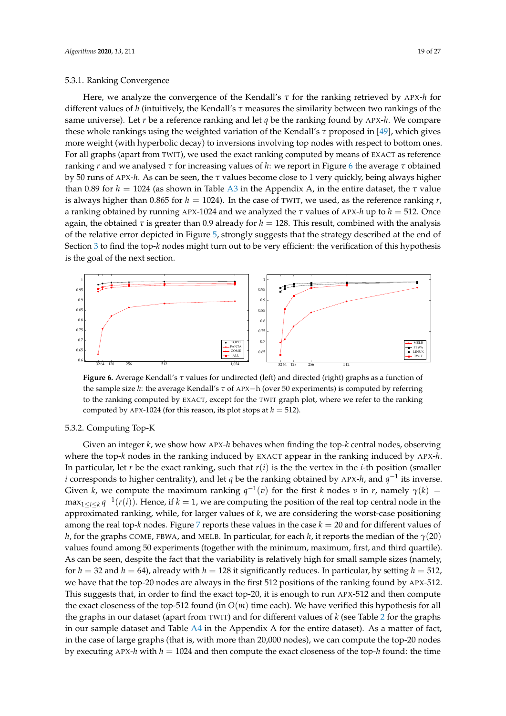# 5.3.1. Ranking Convergence

Here, we analyze the convergence of the Kendall's *τ* for the ranking retrieved by APX-*h* for different values of *h* (intuitively, the Kendall's *τ* measures the similarity between two rankings of the same universe). Let *r* be a reference ranking and let *q* be the ranking found by APX-*h*. We compare these whole rankings using the weighted variation of the Kendall's *τ* proposed in [\[49\]](#page-26-20), which gives more weight (with hyperbolic decay) to inversions involving top nodes with respect to bottom ones. For all graphs (apart from TWIT), we used the exact ranking computed by means of EXACT as reference ranking *r* and we analysed *τ* for increasing values of *h*: we report in Figure [6](#page-18-0) the average *τ* obtained by 50 runs of APX-*h*. As can be seen, the *τ* values become close to 1 very quickly, being always higher than 0.89 for *h* = 1024 (as shown in Table [A3](#page-23-0) in the Appendix A, in the entire dataset, the *τ* value is always higher than 0.865 for  $h = 1024$ ). In the case of TWIT, we used, as the reference ranking  $r$ , a ranking obtained by running APX-1024 and we analyzed the *τ* values of APX-*h* up to *h* = 512. Once again, the obtained *τ* is greater than 0.9 already for *h* = 128. This result, combined with the analysis of the relative error depicted in Figure [5,](#page-17-0) strongly suggests that the strategy described at the end of Section [3](#page-9-0) to find the top-*k* nodes might turn out to be very efficient: the verification of this hypothesis is the goal of the next section.

<span id="page-18-0"></span>

**Figure 6.** Average Kendall's *τ* values for undirected (left) and directed (right) graphs as a function of the sample size *h*: the average Kendall's *τ* of APX−h (over 50 experiments) is computed by referring to the ranking computed by EXACT, except for the TWIT graph plot, where we refer to the ranking computed by APX-1024 (for this reason, its plot stops at  $h = 512$ ).

## 5.3.2. Computing Top-K

Given an integer *k*, we show how APX-*h* behaves when finding the top-*k* central nodes, observing where the top-*k* nodes in the ranking induced by EXACT appear in the ranking induced by APX-*h*. In particular, let *r* be the exact ranking, such that  $r(i)$  is the the vertex in the *i*-th position (smaller *i* corresponds to higher centrality), and let *q* be the ranking obtained by APX-*h*, and *q* −1 its inverse. Given *k*, we compute the maximum ranking  $q^{-1}(v)$  for the first *k* nodes *v* in *r*, namely  $\gamma(k)$  = max1≤*i*≤*<sup>k</sup> q* −1 (*r*(*i*)). Hence, if *k* = 1, we are computing the position of the real top central node in the approximated ranking, while, for larger values of *k*, we are considering the worst-case positioning among the real top- $k$  nodes. Figure [7](#page-19-1) reports these values in the case  $k = 20$  and for different values of *h*, for the graphs COME, FBWA, and MELB. In particular, for each *h*, it reports the median of the *γ*(20) values found among 50 experiments (together with the minimum, maximum, first, and third quartile). As can be seen, despite the fact that the variability is relatively high for small sample sizes (namely, for  $h = 32$  and  $h = 64$ ), already with  $h = 128$  it significantly reduces. In particular, by setting  $h = 512$ , we have that the top-20 nodes are always in the first 512 positions of the ranking found by APX-512. This suggests that, in order to find the exact top-20, it is enough to run APX-512 and then compute the exact closeness of the top-512 found (in  $O(m)$  time each). We have verified this hypothesis for all the graphs in our dataset (apart from TWIT) and for different values of *k* (see Table [2](#page-19-2) for the graphs in our sample dataset and Table [A4](#page-24-4) in the Appendix A for the entire dataset). As a matter of fact, in the case of large graphs (that is, with more than 20,000 nodes), we can compute the top-20 nodes by executing APX-*h* with *h* = 1024 and then compute the exact closeness of the top-*h* found: the time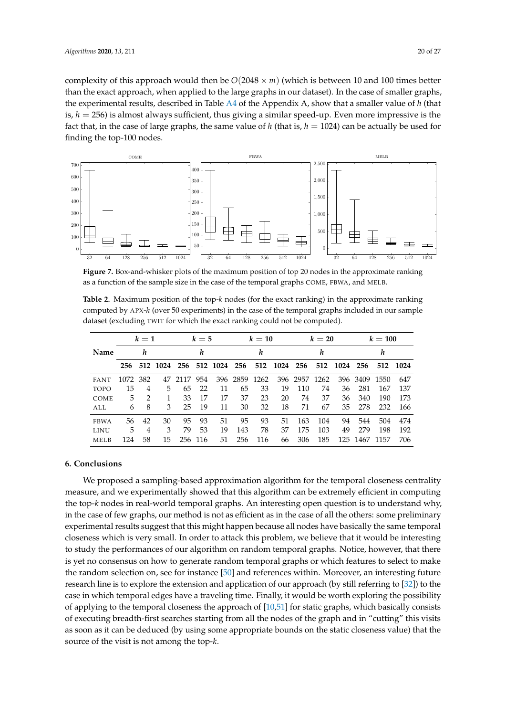complexity of this approach would then be  $O(2048 \times m)$  (which is between 10 and 100 times better than the exact approach, when applied to the large graphs in our dataset). In the case of smaller graphs, the experimental results, described in Table [A4](#page-24-4) of the Appendix A, show that a smaller value of *h* (that is, *h* = 256) is almost always sufficient, thus giving a similar speed-up. Even more impressive is the fact that, in the case of large graphs, the same value of  $h$  (that is,  $h = 1024$ ) can be actually be used for

finding the top-100 nodes.

<span id="page-19-1"></span>

**Figure 7.** Box-and-whisker plots of the maximum position of top 20 nodes in the approximate ranking as a function of the sample size in the case of the temporal graphs COME, FBWA, and MELB.

<span id="page-19-2"></span>**Table 2.** Maximum position of the top-*k* nodes (for the exact ranking) in the approximate ranking computed by APX-*h* (over 50 experiments) in the case of the temporal graphs included in our sample dataset (excluding TWIT for which the exact ranking could not be computed).

|             | $k=1$    |    |          |      | $k=5$ |          |      | $k=10$ |      |          | $k=20$ |      |          | $k=100$ |      |  |
|-------------|----------|----|----------|------|-------|----------|------|--------|------|----------|--------|------|----------|---------|------|--|
| Name        |          | h  |          |      | h     |          |      | h      |      |          | h      |      |          | h       |      |  |
|             | 256      |    | 512 1024 | 256  |       | 512 1024 | 256  | 512    | 1024 | 256      | 512    | 1024 | - 256    | 512     | 1024 |  |
| <b>FANT</b> | 1072 382 |    | 47       | 2117 | 954   | 396      | 2859 | 1262   |      | 396 2957 | 1262   |      | 396 3409 | 1550    | 647  |  |
| <b>TOPO</b> | 15       | 4  | 5        | 65   | 22    | 11       | 65   | 33     | 19   | 110      | 74     | 36   | 281      | 167     | 137  |  |
| <b>COME</b> | 5.       | 2  | 1        | 33   | 17    | 17       | 37   | 23     | 20   | 74       | 37     | 36   | 340      | 190     | 173  |  |
| AI.         | 6        | 8  | 3        | 25   | 19    | 11       | 30   | 32     | 18   | 71       | 67     | 35   | 278      | 232     | 166  |  |
| <b>FBWA</b> | 56       | 42 | 30       | 95   | 93    | 51       | 95   | 93     | 51   | 163      | 104    | 94   | 544      | 504     | 474  |  |
| LINU        | 5        | 4  | 3        | 79   | 53    | 19       | 143  | 78     | 37   | 175      | 103    | 49   | 279      | 198     | 192  |  |
| <b>MELB</b> | 124      | 58 | 15       | 256  | 116   | 51       | 256  | 116    | 66   | 306      | 185    | 125  | 1467     | 1157    | 706  |  |

# <span id="page-19-0"></span>**6. Conclusions**

We proposed a sampling-based approximation algorithm for the temporal closeness centrality measure, and we experimentally showed that this algorithm can be extremely efficient in computing the top-*k* nodes in real-world temporal graphs. An interesting open question is to understand why, in the case of few graphs, our method is not as efficient as in the case of all the others: some preliminary experimental results suggest that this might happen because all nodes have basically the same temporal closeness which is very small. In order to attack this problem, we believe that it would be interesting to study the performances of our algorithm on random temporal graphs. Notice, however, that there is yet no consensus on how to generate random temporal graphs or which features to select to make the random selection on, see for instance [\[50\]](#page-26-21) and references within. Moreover, an interesting future research line is to explore the extension and application of our approach (by still referring to [\[32\]](#page-26-3)) to the case in which temporal edges have a traveling time. Finally, it would be worth exploring the possibility of applying to the temporal closeness the approach of  $[10,51]$  $[10,51]$  for static graphs, which basically consists of executing breadth-first searches starting from all the nodes of the graph and in "cutting" this visits as soon as it can be deduced (by using some appropriate bounds on the static closeness value) that the source of the visit is not among the top-*k*.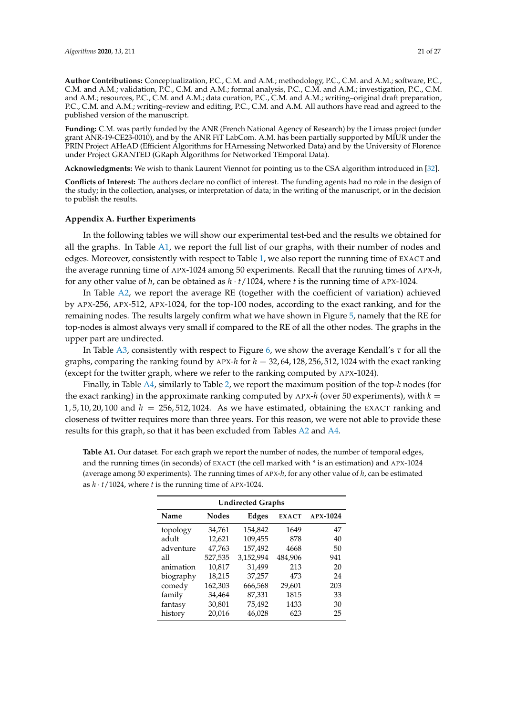**Author Contributions:** Conceptualization, P.C., C.M. and A.M.; methodology, P.C., C.M. and A.M.; software, P.C., C.M. and A.M.; validation, P.C., C.M. and A.M.; formal analysis, P.C., C.M. and A.M.; investigation, P.C., C.M. and A.M.; resources, P.C., C.M. and A.M.; data curation, P.C., C.M. and A.M.; writing–original draft preparation, P.C., C.M. and A.M.; writing–review and editing, P.C., C.M. and A.M. All authors have read and agreed to the published version of the manuscript.

**Funding:** C.M. was partly funded by the ANR (French National Agency of Research) by the Limass project (under grant ANR-19-CE23-0010), and by the ANR FiT LabCom. A.M. has been partially supported by MIUR under the PRIN Project AHeAD (Efficient Algorithms for HArnessing Networked Data) and by the University of Florence under Project GRANTED (GRaph Algorithms for Networked TEmporal Data).

**Acknowledgments:** We wish to thank Laurent Viennot for pointing us to the CSA algorithm introduced in [\[32\]](#page-26-3).

**Conflicts of Interest:** The authors declare no conflict of interest. The funding agents had no role in the design of the study; in the collection, analyses, or interpretation of data; in the writing of the manuscript, or in the decision to publish the results.

## **Appendix A. Further Experiments**

In the following tables we will show our experimental test-bed and the results we obtained for all the graphs. In Table  $A1$ , we report the full list of our graphs, with their number of nodes and edges. Moreover, consistently with respect to Table [1,](#page-14-1) we also report the running time of EXACT and the average running time of APX-1024 among 50 experiments. Recall that the running times of APX-*h*, for any other value of *h*, can be obtained as *h* · *t*/1024, where *t* is the running time of APX-1024.

In Table [A2,](#page-22-0) we report the average RE (together with the coefficient of variation) achieved by APX-256, APX-512, APX-1024, for the top-100 nodes, according to the exact ranking, and for the remaining nodes. The results largely confirm what we have shown in Figure [5,](#page-17-0) namely that the RE for top-nodes is almost always very small if compared to the RE of all the other nodes. The graphs in the upper part are undirected.

In Table [A3,](#page-23-0) consistently with respect to Figure [6,](#page-18-0) we show the average Kendall's *τ* for all the graphs, comparing the ranking found by APX-*h* for *h* = 32, 64, 128, 256, 512, 1024 with the exact ranking (except for the twitter graph, where we refer to the ranking computed by APX-1024).

Finally, in Table [A4,](#page-24-4) similarly to Table [2,](#page-19-2) we report the maximum position of the top-*k* nodes (for the exact ranking) in the approximate ranking computed by  $APX-h$  (over 50 experiments), with  $k =$ 1, 5, 10, 20, 100 and  $h = 256$ , 512, 1024. As we have estimated, obtaining the EXACT ranking and closeness of twitter requires more than three years. For this reason, we were not able to provide these results for this graph, so that it has been excluded from Tables [A2](#page-22-0) and [A4.](#page-24-4)

**Table A1.** Our dataset. For each graph we report the number of nodes, the number of temporal edges, and the running times (in seconds) of EXACT (the cell marked with \* is an estimation) and APX-1024 (average among 50 experiments). The running times of APX-*h*, for any other value of *h*, can be estimated as  $h \cdot t / 1024$ , where *t* is the running time of APX-1024.

| <b>Undirected Graphs</b> |              |           |              |          |  |  |  |  |  |  |  |  |
|--------------------------|--------------|-----------|--------------|----------|--|--|--|--|--|--|--|--|
| Name                     | <b>Nodes</b> | Edges     | <b>EXACT</b> | APX-1024 |  |  |  |  |  |  |  |  |
| topology                 | 34,761       | 154,842   | 1649         | 47       |  |  |  |  |  |  |  |  |
| adult                    | 12,621       | 109,455   | 878          | 40       |  |  |  |  |  |  |  |  |
| adventure                | 47,763       | 157,492   | 4668         | 50       |  |  |  |  |  |  |  |  |
| all                      | 527,535      | 3,152,994 | 484,906      | 941      |  |  |  |  |  |  |  |  |
| animation                | 10,817       | 31,499    | 213          | 20       |  |  |  |  |  |  |  |  |
| biography                | 18,215       | 37,257    | 473          | 24       |  |  |  |  |  |  |  |  |
| comedy                   | 162,303      | 666,568   | 29,601       | 203      |  |  |  |  |  |  |  |  |
| family                   | 34,464       | 87,331    | 1815         | 33       |  |  |  |  |  |  |  |  |
| fantasy                  | 30,801       | 75,492    | 1433         | 30       |  |  |  |  |  |  |  |  |
| history                  | 20,016       | 46,028    | 623          | 25       |  |  |  |  |  |  |  |  |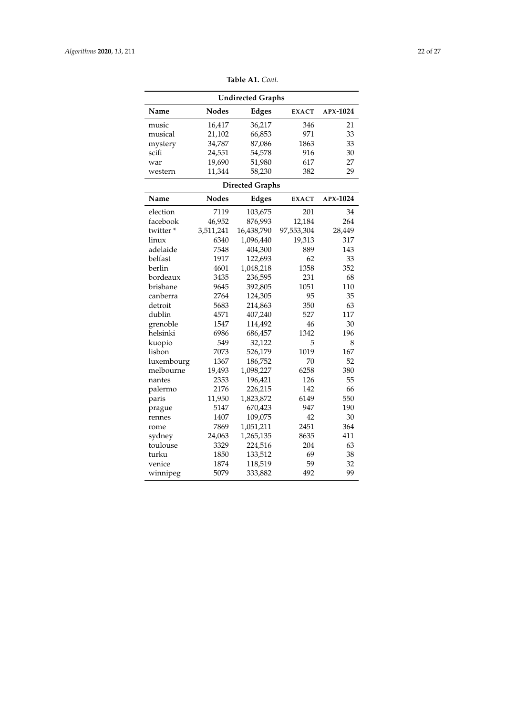<span id="page-21-0"></span>

| <b>Undirected Graphs</b>                                         |                                                          |            |            |        |  |  |  |  |  |  |  |  |  |
|------------------------------------------------------------------|----------------------------------------------------------|------------|------------|--------|--|--|--|--|--|--|--|--|--|
| Name                                                             | <b>Nodes</b><br><b>Edges</b><br>APX-1024<br><b>EXACT</b> |            |            |        |  |  |  |  |  |  |  |  |  |
| music                                                            | 16,417                                                   | 36,217     | 346        | 21     |  |  |  |  |  |  |  |  |  |
| musical                                                          | 21,102                                                   | 66,853     | 971        | 33     |  |  |  |  |  |  |  |  |  |
| mystery                                                          | 34,787                                                   | 87,086     | 1863       | 33     |  |  |  |  |  |  |  |  |  |
| scifi                                                            | 24,551                                                   | 54,578     | 916        | 30     |  |  |  |  |  |  |  |  |  |
| war                                                              | 19,690                                                   | 51,980     | 617        | 27     |  |  |  |  |  |  |  |  |  |
| western                                                          | 11,344                                                   | 58,230     | 382        | 29     |  |  |  |  |  |  |  |  |  |
| <b>Directed Graphs</b>                                           |                                                          |            |            |        |  |  |  |  |  |  |  |  |  |
| <b>Nodes</b><br>Name<br><b>Edges</b><br><b>EXACT</b><br>APX-1024 |                                                          |            |            |        |  |  |  |  |  |  |  |  |  |
| election                                                         | 7119                                                     | 103,675    | 201        | 34     |  |  |  |  |  |  |  |  |  |
| facebook                                                         | 46,952                                                   | 876,993    | 12,184     | 264    |  |  |  |  |  |  |  |  |  |
| twitter *                                                        | 3,511,241                                                | 16,438,790 | 97,553,304 | 28,449 |  |  |  |  |  |  |  |  |  |
| linux                                                            | 6340                                                     | 1,096,440  | 19,313     | 317    |  |  |  |  |  |  |  |  |  |
| adelaide                                                         | 7548                                                     | 404,300    | 889        | 143    |  |  |  |  |  |  |  |  |  |
| belfast                                                          | 1917                                                     | 122,693    | 62         | 33     |  |  |  |  |  |  |  |  |  |
| berlin                                                           | 4601                                                     | 1,048,218  | 1358       | 352    |  |  |  |  |  |  |  |  |  |
| bordeaux                                                         | 3435                                                     | 236,595    | 231        | 68     |  |  |  |  |  |  |  |  |  |
| brisbane                                                         | 9645                                                     | 392,805    | 1051       | 110    |  |  |  |  |  |  |  |  |  |
| canberra                                                         | 2764                                                     | 124,305    | 95         | 35     |  |  |  |  |  |  |  |  |  |
| detroit                                                          | 5683                                                     | 214,863    | 350        | 63     |  |  |  |  |  |  |  |  |  |
| dublin                                                           | 4571                                                     | 407,240    | 527        | 117    |  |  |  |  |  |  |  |  |  |
| grenoble                                                         | 1547                                                     | 114,492    | 46         | 30     |  |  |  |  |  |  |  |  |  |
| helsinki                                                         | 6986                                                     | 686,457    | 1342       | 196    |  |  |  |  |  |  |  |  |  |
| kuopio                                                           | 549                                                      | 32,122     | 5          | 8      |  |  |  |  |  |  |  |  |  |
| lisbon                                                           | 7073                                                     | 526,179    | 1019       | 167    |  |  |  |  |  |  |  |  |  |
| luxembourg                                                       | 1367                                                     | 186,752    | 70         | 52     |  |  |  |  |  |  |  |  |  |
| melbourne                                                        | 19,493                                                   | 1,098,227  | 6258       | 380    |  |  |  |  |  |  |  |  |  |
| nantes                                                           | 2353                                                     | 196,421    | 126        | 55     |  |  |  |  |  |  |  |  |  |
| palermo                                                          | 2176                                                     | 226,215    | 142        | 66     |  |  |  |  |  |  |  |  |  |
| paris                                                            | 11,950                                                   | 1,823,872  | 6149       | 550    |  |  |  |  |  |  |  |  |  |
| prague                                                           | 5147                                                     | 670,423    | 947        | 190    |  |  |  |  |  |  |  |  |  |
| rennes                                                           | 1407                                                     | 109,075    | 42         | 30     |  |  |  |  |  |  |  |  |  |
| rome                                                             | 7869                                                     | 1,051,211  | 2451       | 364    |  |  |  |  |  |  |  |  |  |
| sydney                                                           | 24,063                                                   | 1,265,135  | 8635       | 411    |  |  |  |  |  |  |  |  |  |
| toulouse                                                         | 3329                                                     | 224,516    | 204        | 63     |  |  |  |  |  |  |  |  |  |
| turku                                                            | 1850                                                     | 133,512    | 69         | 38     |  |  |  |  |  |  |  |  |  |
| venice                                                           | 1874                                                     | 118,519    | 59         | 32     |  |  |  |  |  |  |  |  |  |
| winnipeg                                                         | 5079                                                     | 333,882    | 492        | 99     |  |  |  |  |  |  |  |  |  |

**Table A1.** *Cont.*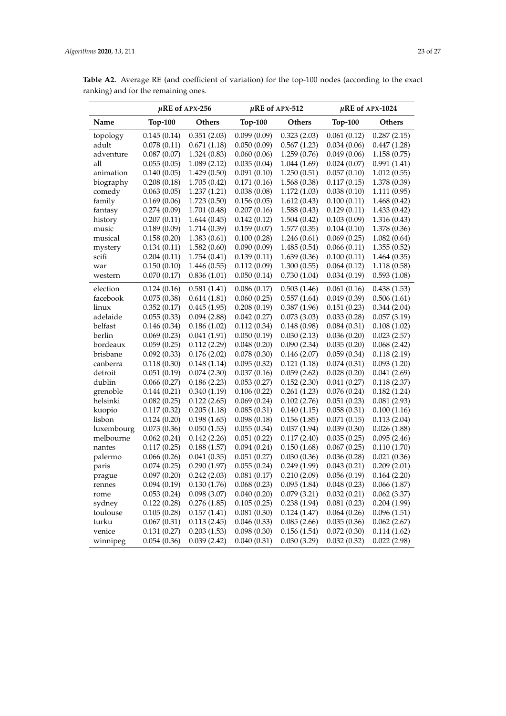|            | $\mu$ RE of APX-256 |               |                | $\mu$ RE of APX-512 | $\mu$ RE of APX-1024 |              |  |  |
|------------|---------------------|---------------|----------------|---------------------|----------------------|--------------|--|--|
| Name       | <b>Top-100</b>      | <b>Others</b> | <b>Top-100</b> | Others              | <b>Top-100</b>       | Others       |  |  |
| topology   | 0.145(0.14)         | 0.351(2.03)   | 0.099(0.09)    | 0.323(2.03)         | 0.061(0.12)          | 0.287(2.15)  |  |  |
| adult      | 0.078(0.11)         | 0.671(1.18)   | 0.050(0.09)    | 0.567(1.23)         | 0.034(0.06)          | 0.447(1.28)  |  |  |
| adventure  | 0.087(0.07)         | 1.324(0.83)   | 0.060(0.06)    | 1.259(0.76)         | 0.049(0.06)          | 1.158(0.75)  |  |  |
| all        | 0.055(0.05)         | 1.089(2.12)   | 0.035(0.04)    | 1.044(1.69)         | 0.024(0.07)          | 0.991(1.41)  |  |  |
| animation  | 0.140(0.05)         | 1.429(0.50)   | 0.091(0.10)    | 1.250(0.51)         | 0.057(0.10)          | 1.012(0.55)  |  |  |
| biography  | 0.208(0.18)         | 1.705(0.42)   | 0.171(0.16)    | 1.568(0.38)         | 0.117(0.15)          | 1.378 (0.39) |  |  |
| comedy     | 0.063(0.05)         | 1.237(1.21)   | 0.038(0.08)    | 1.172(1.03)         | 0.038(0.10)          | 1.111(0.95)  |  |  |
| family     | 0.169(0.06)         | 1.723(0.50)   | 0.156(0.05)    | 1.612(0.43)         | 0.100(0.11)          | 1.468(0.42)  |  |  |
| fantasy    | 0.274(0.09)         | 1.701 (0.48)  | 0.207(0.16)    | 1.588(0.43)         | 0.129(0.11)          | 1.433(0.42)  |  |  |
| history    | 0.207(0.11)         | 1.644(0.45)   | 0.142(0.12)    | 1.504(0.42)         | 0.103(0.09)          | 1.316(0.43)  |  |  |
| music      | 0.189(0.09)         | 1.714 (0.39)  | 0.159(0.07)    | 1.577(0.35)         | 0.104(0.10)          | 1.378 (0.36) |  |  |
| musical    | 0.158(0.20)         | 1.383(0.61)   | 0.100(0.28)    | 1.246(0.61)         | 0.069(0.25)          | 1.082(0.64)  |  |  |
| mystery    | 0.134(0.11)         | 1.582(0.60)   | 0.090(0.09)    | 1.485(0.54)         | 0.066(0.11)          | 1.355(0.52)  |  |  |
| scifi      | 0.204(0.11)         | 1.754(0.41)   | 0.139(0.11)    | 1.639(0.36)         | 0.100(0.11)          | 1.464(0.35)  |  |  |
| war        | 0.150(0.10)         | 1.446 (0.55)  | 0.112(0.09)    | 1.300(0.55)         | 0.064(0.12)          | 1.118(0.58)  |  |  |
| western    | 0.070(0.17)         | 0.836(1.01)   | 0.050(0.14)    | 0.730(1.04)         | 0.034(0.19)          | 0.593(1.08)  |  |  |
| election   | 0.124(0.16)         | 0.581(1.41)   | 0.086(0.17)    | 0.503(1.46)         | 0.061(0.16)          | 0.438(1.53)  |  |  |
| facebook   | 0.075(0.38)         | 0.614(1.81)   | 0.060(0.25)    | 0.557(1.64)         | 0.049(0.39)          | 0.506(1.61)  |  |  |
| linux      | 0.352(0.17)         | 0.445 (1.95)  | 0.208(0.19)    | 0.387(1.96)         | 0.151(0.23)          | 0.344(2.04)  |  |  |
| adelaide   | 0.055(0.33)         | 0.094 (2.88)  | 0.042(0.27)    | 0.073(3.03)         | 0.033(0.28)          | 0.057(3.19)  |  |  |
| belfast    | 0.146(0.34)         | 0.186(1.02)   | 0.112(0.34)    | 0.148(0.98)         | 0.084(0.31)          | 0.108(1.02)  |  |  |
| berlin     | 0.069(0.23)         | 0.041(1.91)   | 0.050(0.19)    | 0.030(2.13)         | 0.036(0.20)          | 0.023(2.57)  |  |  |
| bordeaux   | 0.059(0.25)         | 0.112 (2.29)  | 0.048(0.20)    | 0.090(2.34)         | 0.035(0.20)          | 0.068(2.42)  |  |  |
| brisbane   | 0.092(0.33)         | 0.176(2.02)   | 0.078(0.30)    | 0.146(2.07)         | 0.059(0.34)          | 0.118(2.19)  |  |  |
| canberra   | 0.118(0.30)         | 0.148 (1.14)  | 0.095(0.32)    | 0.121(1.18)         | 0.074(0.31)          | 0.093(1.20)  |  |  |
| detroit    | 0.051(0.19)         | 0.074(2.30)   | 0.037(0.16)    | 0.059(2.62)         | 0.028(0.20)          | 0.041(2.69)  |  |  |
| dublin     | 0.066(0.27)         | 0.186(2.23)   | 0.053(0.27)    | 0.152(2.30)         | 0.041(0.27)          | 0.118(2.37)  |  |  |
| grenoble   | 0.144(0.21)         | 0.340 (1.19)  | 0.106(0.22)    | 0.261(1.23)         | 0.076(0.24)          | 0.182(1.24)  |  |  |
| helsinki   | 0.082(0.25)         | 0.122(2.65)   | 0.069(0.24)    | 0.102(2.76)         | 0.051(0.23)          | 0.081(2.93)  |  |  |
| kuopio     | 0.117(0.32)         | 0.205(1.18)   | 0.085(0.31)    | 0.140(1.15)         | 0.058(0.31)          | 0.100(1.16)  |  |  |
| lisbon     | 0.124(0.20)         | 0.198(1.65)   | 0.098(0.18)    | 0.156(1.85)         | 0.071(0.15)          | 0.113(2.04)  |  |  |
| luxembourg | 0.073(0.36)         | 0.050(1.53)   | 0.055(0.34)    | 0.037(1.94)         | 0.039(0.30)          | 0.026(1.88)  |  |  |
| melbourne  | 0.062(0.24)         | 0.142(2.26)   | 0.051(0.22)    | 0.117(2.40)         | 0.035(0.25)          | 0.095(2.46)  |  |  |
| nantes     | 0.117(0.25)         | 0.188(1.57)   | 0.094(0.24)    | 0.150(1.68)         | 0.067(0.25)          | 0.110(1.70)  |  |  |
| palermo    | 0.066(0.26)         | 0.041(0.35)   | 0.051(0.27)    | 0.030(0.36)         | 0.036(0.28)          | 0.021(0.36)  |  |  |
| paris      | 0.074(0.25)         | 0.290(1.97)   | 0.055(0.24)    | 0.249(1.99)         | 0.043(0.21)          | 0.209(2.01)  |  |  |
| prague     | 0.097(0.20)         | 0.242(2.03)   | 0.081(0.17)    | 0.210(2.09)         | 0.056(0.19)          | 0.164(2.20)  |  |  |
| rennes     | 0.094(0.19)         | 0.130 (1.76)  | 0.068(0.23)    | 0.095(1.84)         | 0.048(0.23)          | 0.066(1.87)  |  |  |
| rome       | 0.053(0.24)         | 0.098(3.07)   | 0.040(0.20)    | 0.079(3.21)         | 0.032(0.21)          | 0.062(3.37)  |  |  |
| sydney     | 0.122(0.28)         | 0.276(1.85)   | 0.105(0.25)    | 0.238(1.94)         | 0.081(0.23)          | 0.204(1.99)  |  |  |
| toulouse   | 0.105(0.28)         | 0.157(1.41)   | 0.081(0.30)    | 0.124(1.47)         | 0.064(0.26)          | 0.096(1.51)  |  |  |
| turku      | 0.067(0.31)         | 0.113(2.45)   | 0.046(0.33)    | 0.085(2.66)         | 0.035(0.36)          | 0.062(2.67)  |  |  |
| venice     | 0.131(0.27)         | 0.203(1.53)   | 0.098(0.30)    | 0.156(1.54)         | 0.072(0.30)          | 0.114(1.62)  |  |  |
| winnipeg   | 0.054(0.36)         | 0.039(2.42)   | 0.040(0.31)    | 0.030(3.29)         | 0.032(0.32)          | 0.022(2.98)  |  |  |

<span id="page-22-0"></span>Table A2. Average RE (and coefficient of variation) for the top-100 nodes (according to the exact ranking) and for the remaining ones.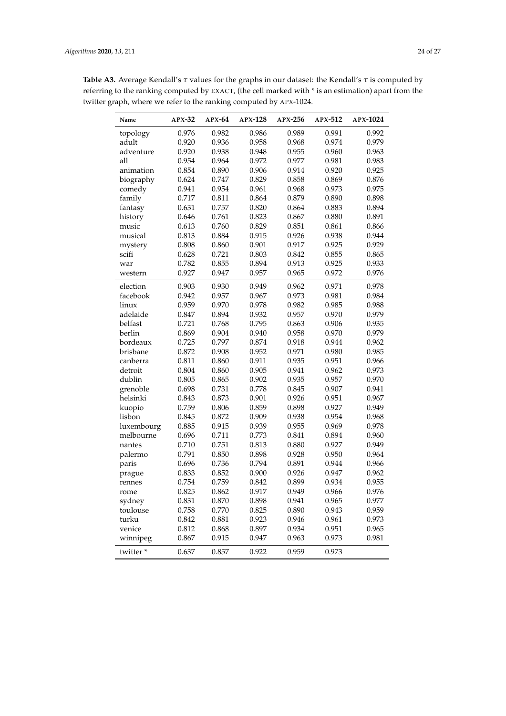<span id="page-23-0"></span>**Table A3.** Average Kendall's *τ* values for the graphs in our dataset: the Kendall's *τ* is computed by referring to the ranking computed by EXACT, (the cell marked with \* is an estimation) apart from the twitter graph, where we refer to the ranking computed by APX-1024.

| Name       | $APX-32$ | $APX-64$ | APX-128 | APX-256 | APX-512 | APX-1024 |
|------------|----------|----------|---------|---------|---------|----------|
| topology   | 0.976    | 0.982    | 0.986   | 0.989   | 0.991   | 0.992    |
| adult      | 0.920    | 0.936    | 0.958   | 0.968   | 0.974   | 0.979    |
| adventure  | 0.920    | 0.938    | 0.948   | 0.955   | 0.960   | 0.963    |
| all        | 0.954    | 0.964    | 0.972   | 0.977   | 0.981   | 0.983    |
| animation  | 0.854    | 0.890    | 0.906   | 0.914   | 0.920   | 0.925    |
| biography  | 0.624    | 0.747    | 0.829   | 0.858   | 0.869   | 0.876    |
| comedy     | 0.941    | 0.954    | 0.961   | 0.968   | 0.973   | 0.975    |
| family     | 0.717    | 0.811    | 0.864   | 0.879   | 0.890   | 0.898    |
| fantasy    | 0.631    | 0.757    | 0.820   | 0.864   | 0.883   | 0.894    |
| history    | 0.646    | 0.761    | 0.823   | 0.867   | 0.880   | 0.891    |
| music      | 0.613    | 0.760    | 0.829   | 0.851   | 0.861   | 0.866    |
| musical    | 0.813    | 0.884    | 0.915   | 0.926   | 0.938   | 0.944    |
| mystery    | 0.808    | 0.860    | 0.901   | 0.917   | 0.925   | 0.929    |
| scifi      | 0.628    | 0.721    | 0.803   | 0.842   | 0.855   | 0.865    |
| war        | 0.782    | 0.855    | 0.894   | 0.913   | 0.925   | 0.933    |
| western    | 0.927    | 0.947    | 0.957   | 0.965   | 0.972   | 0.976    |
| election   | 0.903    | 0.930    | 0.949   | 0.962   | 0.971   | 0.978    |
| facebook   | 0.942    | 0.957    | 0.967   | 0.973   | 0.981   | 0.984    |
| linux      | 0.959    | 0.970    | 0.978   | 0.982   | 0.985   | 0.988    |
| adelaide   | 0.847    | 0.894    | 0.932   | 0.957   | 0.970   | 0.979    |
| belfast    | 0.721    | 0.768    | 0.795   | 0.863   | 0.906   | 0.935    |
| berlin     | 0.869    | 0.904    | 0.940   | 0.958   | 0.970   | 0.979    |
| bordeaux   | 0.725    | 0.797    | 0.874   | 0.918   | 0.944   | 0.962    |
| brisbane   | 0.872    | 0.908    | 0.952   | 0.971   | 0.980   | 0.985    |
| canberra   | 0.811    | 0.860    | 0.911   | 0.935   | 0.951   | 0.966    |
| detroit    | 0.804    | 0.860    | 0.905   | 0.941   | 0.962   | 0.973    |
| dublin     | 0.805    | 0.865    | 0.902   | 0.935   | 0.957   | 0.970    |
| grenoble   | 0.698    | 0.731    | 0.778   | 0.845   | 0.907   | 0.941    |
| helsinki   | 0.843    | 0.873    | 0.901   | 0.926   | 0.951   | 0.967    |
| kuopio     | 0.759    | 0.806    | 0.859   | 0.898   | 0.927   | 0.949    |
| lisbon     | 0.845    | 0.872    | 0.909   | 0.938   | 0.954   | 0.968    |
| luxembourg | 0.885    | 0.915    | 0.939   | 0.955   | 0.969   | 0.978    |
| melbourne  | 0.696    | 0.711    | 0.773   | 0.841   | 0.894   | 0.960    |
| nantes     | 0.710    | 0.751    | 0.813   | 0.880   | 0.927   | 0.949    |
| palermo    | 0.791    | 0.850    | 0.898   | 0.928   | 0.950   | 0.964    |
| paris      | 0.696    | 0.736    | 0.794   | 0.891   | 0.944   | 0.966    |
| prague     | 0.833    | 0.852    | 0.900   | 0.926   | 0.947   | 0.962    |
| rennes     | 0.754    | 0.759    | 0.842   | 0.899   | 0.934   | 0.955    |
| rome       | 0.825    | 0.862    | 0.917   | 0.949   | 0.966   | 0.976    |
| sydney     | 0.831    | 0.870    | 0.898   | 0.941   | 0.965   | 0.977    |
| toulouse   | 0.758    | 0.770    | 0.825   | 0.890   | 0.943   | 0.959    |
| turku      | 0.842    | 0.881    | 0.923   | 0.946   | 0.961   | 0.973    |
| venice     | 0.812    | 0.868    | 0.897   | 0.934   | 0.951   | 0.965    |
| winnipeg   | 0.867    | 0.915    | 0.947   | 0.963   | 0.973   | 0.981    |
| twitter*   | 0.637    | 0.857    | 0.922   | 0.959   | 0.973   |          |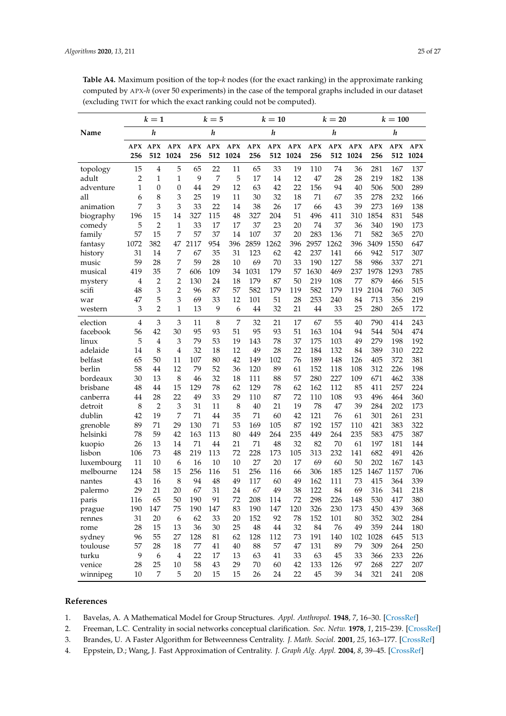|            | $k=1$          |                |                    | $k=5$             |                |                    | $k=10$            |                   |                    | $k=20$            |                   |             | $k=100$           |                   |                    |
|------------|----------------|----------------|--------------------|-------------------|----------------|--------------------|-------------------|-------------------|--------------------|-------------------|-------------------|-------------|-------------------|-------------------|--------------------|
| Name       |                | h              |                    |                   | h              |                    |                   | h                 |                    |                   | h                 |             |                   | h                 |                    |
|            | APX APX<br>256 | 512            | <b>APX</b><br>1024 | <b>APX</b><br>256 | APX<br>512     | <b>APX</b><br>1024 | <b>APX</b><br>256 | <b>APX</b><br>512 | <b>APX</b><br>1024 | <b>APX</b><br>256 | <b>APX</b><br>512 | APX<br>1024 | <b>APX</b><br>256 | <b>APX</b><br>512 | <b>APX</b><br>1024 |
| topology   | 15             | $\bf 4$        | 5                  | 65                | 22             | 11                 | 65                | 33                | 19                 | 110               | 74                | 36          | 281               | 167               | 137                |
| adult      | 2              | $\mathbf{1}$   | $\mathbf{1}$       | 9                 | $\overline{7}$ | 5                  | 17                | 14                | 12                 | 47                | 28                | 28          | 219               | 182               | 138                |
| adventure  | 1              | $\mathbf{0}$   | $\mathbf{0}$       | 44                | 29             | 12                 | 63                | 42                | 22                 | 156               | 94                | 40          | 506               | 500               | 289                |
| all        | 6              | 8              | 3                  | 25                | 19             | 11                 | 30                | 32                | 18                 | 71                | 67                | 35          | 278               | 232               | 166                |
| animation  | 7              | 3              | 3                  | 33                | 22             | 14                 | 38                | 26                | 17                 | 66                | 43                | 39          | 273               | 169               | 138                |
| biography  | 196            | 15             | 14                 | 327               | 115            | 48                 | 327               | 204               | 51                 | 496               | 411               | 310         | 1854              | 831               | 548                |
| comedy     | 5              | $\overline{2}$ | $\mathbf{1}$       | 33                | 17             | 17                 | 37                | 23                | 20                 | 74                | 37                | 36          | 340               | 190               | 173                |
| family     | 57             | 15             | 7                  | 57                | 37             | 14                 | 107               | 37                | 20                 | 283               | 136               | 71          | 582               | 365               | 270                |
| fantasy    | 1072           | 382            | 47                 | 2117              | 954            | 396                | 2859              | 1262              | 396                | 2957              | 1262              | 396         | 3409              | 1550              | 647                |
| history    | 31             | 14             | 7                  | 67                | 35             | 31                 | 123               | 62                | 42                 | 237               | 141               | 66          | 942               | 517               | 307                |
| music      | 59             | 28             | 7                  | 59                | 28             | 10                 | 69                | 70                | 33                 | 190               | 127               | 58          | 986               | 337               | 271                |
| musical    | 419            | 35             | 7                  | 606               | 109            | 34                 | 1031              | 179               | 57                 | 1630              | 469               | 237         | 1978              | 1293              | 785                |
| mystery    | $\overline{4}$ | $\overline{2}$ | 2                  | 130               | 24             | 18                 | 179               | 87                | 50                 | 219               | 108               | 77          | 879               | 466               | 515                |
| scifi      | 48             | 3              | $\overline{c}$     | 96                | 87             | 57                 | 582               | 179               | 119                | 582               | 179               | 119         | 2104              | 760               | 305                |
| war        | 47             | 5              | 3                  | 69                | 33             | 12                 | 101               | 51                | 28                 | 253               | 240               | 84          | 713               | 356               | 219                |
| western    | 3              | $\overline{2}$ | 1                  | 13                | 9              | 6                  | 44                | 32                | 21                 | 44                | 33                | 25          | 280               | 265               | 172                |
| election   | 4              | 3              | 3                  | 11                | 8              | 7                  | 32                | 21                | 17                 | 67                | 55                | 40          | 790               | 414               | 243                |
| facebook   | 56             | 42             | 30                 | 95                | 93             | 51                 | 95                | 93                | 51                 | 163               | 104               | 94          | 544               | 504               | 474                |
| linux      | 5              | $\overline{4}$ | 3                  | 79                | 53             | 19                 | 143               | 78                | 37                 | 175               | 103               | 49          | 279               | 198               | 192                |
| adelaide   | 14             | 8              | 4                  | 32                | 18             | 12                 | 49                | 28                | 22                 | 184               | 132               | 84          | 389               | 310               | 222                |
| belfast    | 65             | 50             | 11                 | 107               | 80             | 42                 | 149               | 102               | 76                 | 189               | 148               | 126         | 405               | 372               | 381                |
| berlin     | 58             | 44             | 12                 | 79                | 52             | 36                 | 120               | 89                | 61                 | 152               | 118               | 108         | 312               | 226               | 198                |
| bordeaux   | 30             | 13             | 8                  | 46                | 32             | 18                 | 111               | 88                | 57                 | 280               | 227               | 109         | 671               | 462               | 338                |
| brisbane   | 48             | 44             | 15                 | 129               | 78             | 62                 | 129               | 78                | 62                 | 162               | 112               | 85          | 411               | 257               | 224                |
| canberra   | 44             | 28             | 22                 | 49                | 33             | 29                 | 110               | 87                | 72                 | 110               | 108               | 93          | 496               | 464               | 360                |
| detroit    | 8              | $\overline{2}$ | 3                  | 31                | 11             | 8                  | 40                | 21                | 19                 | 78                | 47                | 39          | 284               | 202               | 173                |
| dublin     | 42             | 19             | 7                  | 71                | 44             | 35                 | 71                | 60                | 42                 | 121               | 76                | 61          | 301               | 261               | 231                |
| grenoble   | 89             | 71             | 29                 | 130               | 71             | 53                 | 169               | 105               | 87                 | 192               | 157               | 110         | 421               | 383               | 322                |
| helsinki   | 78             | 59             | 42                 | 163               | 113            | 80                 | 449               | 264               | 235                | 449               | 264               | 235         | 583               | 475               | 387                |
| kuopio     | 26             | 13             | 14                 | 71                | 44             | 21                 | 71                | 48                | 32                 | 82                | 70                | 61          | 197               | 181               | 144                |
| lisbon     | 106            | 73             | 48                 | 219               | 113            | 72                 | 228               | 173               | 105                | 313               | 232               | 141         | 682               | 491               | 426                |
| luxembourg | 11             | 10             | 6                  | 16                | 10             | 10                 | 27                | 20                | 17                 | 69                | 60                | 50          | 202               | 167               | 143                |
| melbourne  | 124            | 58             | 15                 | 256               | 116            | 51                 | 256               | 116               | 66                 | 306               | 185               | 125         | 1467              | 1157              | 706                |
| nantes     | 43             | 16             | 8                  | 94                | 48             | 49                 | 117               | 60                | 49                 | 162               | 111               | 73          | 415               | 364               | 339                |
| palermo    | 29             | 21             | 20                 | 67                | 31             | 24                 | 67                | 49                | 38                 | 122               | 84                | 69          | 316               | 341               | 218                |
| paris      | 116            | 65             | 50                 | 190               | 91             | 72                 | 208               | 114               | 72                 | 298               | 226               | 148         | 530               | 417               | 380                |
| prague     | 190            | 147            | 75                 | 190               | 147            | 83                 | 190               | 147               | 120                | 326               | 230               | 173         | 450               | 439               | 368                |
| rennes     | 31             | 20             | 6                  | 62                | 33             | 20                 | 152               | 92                | 78                 | 152               | 101               | 80          | 352               | 302               | 284                |
| rome       | 28             | 15             | 13                 | 36                | 30             | 25                 | 48                | 44                | 32                 | 84                | 76                | 49          | 359               | 244               | 180                |
| sydney     | 96             | 55             | 27                 | 128               | 81             | 62                 | 128               | 112               | 73                 | 191               | 140               | 102         | 1028              | 645               | 513                |
| toulouse   | 57             | 28             | 18                 | 77                | 41             | 40                 | 88                | 57                | 47                 | 131               | 89                | 79          | 309               | 264               | 250                |
| turku      | 9              | 6              | $\overline{4}$     | 22                | 17             | 13                 | 63                | 41                | 33                 | 63                | 45                | 33          | 366               | 233               | 226                |
| venice     | 28             | 25             | 10                 | 58                | 43             | 29                 | 70                | 60                | 42                 | 133               | 126               | 97          | 268               | 227               | 207                |
| winnipeg   | 10             | 7              | 5                  | 20                | 15             | 15                 | 26                | 24                | 22                 | 45                | 39                | 34          | 321               | 241               | 208                |

<span id="page-24-4"></span>**Table A4.** Maximum position of the top-*k* nodes (for the exact ranking) in the approximate ranking computed by APX-*h* (over 50 experiments) in the case of the temporal graphs included in our dataset (excluding TWIT for which the exact ranking could not be computed).

# **References**

<span id="page-24-0"></span>1. Bavelas, A. A Mathematical Model for Group Structures. *Appl. Anthropol.* **1948**, *7*, 16–30. [\[CrossRef\]](http://dx.doi.org/10.17730/humo.7.3.f4033344851gl053)

<span id="page-24-1"></span>2. Freeman, L.C. Centrality in social networks conceptual clarification. *Soc. Netw.* **1978**, *1*, 215–239. [\[CrossRef\]](http://dx.doi.org/10.1016/0378-8733(78)90021-7)

<span id="page-24-2"></span>3. Brandes, U. A Faster Algorithm for Betweenness Centrality. *J. Math. Sociol.* **2001**, *25*, 163–177. [\[CrossRef\]](http://dx.doi.org/10.1080/0022250X.2001.9990249)

<span id="page-24-3"></span>4. Eppstein, D.; Wang, J. Fast Approximation of Centrality. *J. Graph Alg. Appl.* **2004**, *8*, 39–45. [\[CrossRef\]](http://dx.doi.org/10.7155/jgaa.00081)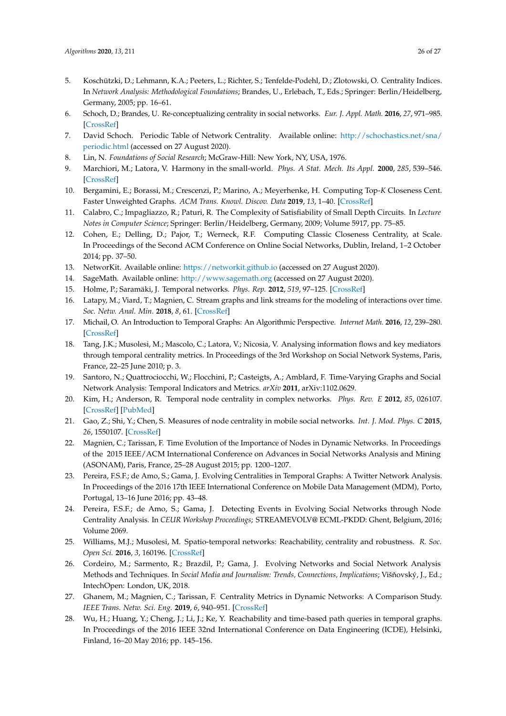- <span id="page-25-0"></span>5. Koschützki, D.; Lehmann, K.A.; Peeters, L.; Richter, S.; Tenfelde-Podehl, D.; Zlotowski, O. Centrality Indices. In *Network Analysis: Methodological Foundations*; Brandes, U., Erlebach, T., Eds.; Springer: Berlin/Heidelberg, Germany, 2005; pp. 16–61.
- <span id="page-25-1"></span>6. Schoch, D.; Brandes, U. Re-conceptualizing centrality in social networks. *Eur. J. Appl. Math.* **2016**, *27*, 971–985. [\[CrossRef\]](http://dx.doi.org/10.1017/S0956792516000401)
- <span id="page-25-2"></span>7. David Schoch. Periodic Table of Network Centrality. Available online: [http://schochastics.net/sna/](http://schochastics.net/sna/periodic.html) [periodic.html](http://schochastics.net/sna/periodic.html) (accessed on 27 August 2020).
- <span id="page-25-3"></span>8. Lin, N. *Foundations of Social Research*; McGraw-Hill: New York, NY, USA, 1976.
- <span id="page-25-4"></span>9. Marchiori, M.; Latora, V. Harmony in the small-world. *Phys. A Stat. Mech. Its Appl.* **2000**, *285*, 539–546. [\[CrossRef\]](http://dx.doi.org/10.1016/S0378-4371(00)00311-3)
- <span id="page-25-5"></span>10. Bergamini, E.; Borassi, M.; Crescenzi, P.; Marino, A.; Meyerhenke, H. Computing Top-*K* Closeness Cent. Faster Unweighted Graphs. *ACM Trans. Knowl. Discov. Data* **2019**, *13*, 1–40. [\[CrossRef\]](http://dx.doi.org/10.1145/3344719)
- <span id="page-25-6"></span>11. Calabro, C.; Impagliazzo, R.; Paturi, R. The Complexity of Satisfiability of Small Depth Circuits. In *Lecture Notes in Computer Science*; Springer: Berlin/Heidelberg, Germany, 2009; Volume 5917, pp. 75–85.
- <span id="page-25-7"></span>12. Cohen, E.; Delling, D.; Pajor, T.; Werneck, R.F. Computing Classic Closeness Centrality, at Scale. In Proceedings of the Second ACM Conference on Online Social Networks, Dublin, Ireland, 1–2 October 2014; pp. 37–50.
- <span id="page-25-8"></span>13. NetworKit. Available online: <https://networkit.github.io> (accessed on 27 August 2020).
- <span id="page-25-9"></span>14. SageMath. Available online: <http://www.sagemath.org> (accessed on 27 August 2020).
- <span id="page-25-10"></span>15. Holme, P.; Saramäki, J. Temporal networks. *Phys. Rep.* **2012**, *519*, 97–125. [\[CrossRef\]](http://dx.doi.org/10.1016/j.physrep.2012.03.001)
- <span id="page-25-16"></span>16. Latapy, M.; Viard, T.; Magnien, C. Stream graphs and link streams for the modeling of interactions over time. *Soc. Netw. Anal. Min.* **2018**, *8*, 61. [\[CrossRef\]](http://dx.doi.org/10.1007/s13278-018-0537-7)
- <span id="page-25-11"></span>17. Michail, O. An Introduction to Temporal Graphs: An Algorithmic Perspective. *Internet Math.* **2016**, *12*, 239–280. [\[CrossRef\]](http://dx.doi.org/10.1080/15427951.2016.1177801)
- <span id="page-25-12"></span>18. Tang, J.K.; Musolesi, M.; Mascolo, C.; Latora, V.; Nicosia, V. Analysing information flows and key mediators through temporal centrality metrics. In Proceedings of the 3rd Workshop on Social Network Systems, Paris, France, 22–25 June 2010; p. 3.
- 19. Santoro, N.; Quattrociocchi, W.; Flocchini, P.; Casteigts, A.; Amblard, F. Time-Varying Graphs and Social Network Analysis: Temporal Indicators and Metrics. *arXiv* **2011**, arXiv:1102.0629.
- 20. Kim, H.; Anderson, R. Temporal node centrality in complex networks. *Phys. Rev. E* **2012**, *85*, 026107. [\[CrossRef\]](http://dx.doi.org/10.1103/PhysRevE.85.026107) [\[PubMed\]](http://www.ncbi.nlm.nih.gov/pubmed/22463279)
- 21. Gao, Z.; Shi, Y.; Chen, S. Measures of node centrality in mobile social networks. *Int. J. Mod. Phys. C* **2015**, *26*, 1550107. [\[CrossRef\]](http://dx.doi.org/10.1142/S0129183115501077)
- <span id="page-25-15"></span>22. Magnien, C.; Tarissan, F. Time Evolution of the Importance of Nodes in Dynamic Networks. In Proceedings of the 2015 IEEE/ACM International Conference on Advances in Social Networks Analysis and Mining (ASONAM), Paris, France, 25–28 August 2015; pp. 1200–1207.
- 23. Pereira, F.S.F.; de Amo, S.; Gama, J. Evolving Centralities in Temporal Graphs: A Twitter Network Analysis. In Proceedings of the 2016 17th IEEE International Conference on Mobile Data Management (MDM), Porto, Portugal, 13–16 June 2016; pp. 43–48.
- 24. Pereira, F.S.F.; de Amo, S.; Gama, J. Detecting Events in Evolving Social Networks through Node Centrality Analysis. In *CEUR Workshop Proceedings*; STREAMEVOLV@ ECML-PKDD: Ghent, Belgium, 2016; Volume 2069.
- 25. Williams, M.J.; Musolesi, M. Spatio-temporal networks: Reachability, centrality and robustness. *R. Soc. Open Sci.* **2016**, *3*, 160196. [\[CrossRef\]](http://dx.doi.org/10.1098/rsos.160196)
- 26. Cordeiro, M.; Sarmento, R.; Brazdil, P.; Gama, J. Evolving Networks and Social Network Analysis Methods and Techniques. In *Social Media and Journalism: Trends, Connections, Implications; Višňovský, J., Ed.;* IntechOpen: London, UK, 2018.
- <span id="page-25-13"></span>27. Ghanem, M.; Magnien, C.; Tarissan, F. Centrality Metrics in Dynamic Networks: A Comparison Study. *IEEE Trans. Netw. Sci. Eng.* **2019**, *6*, 940–951. [\[CrossRef\]](http://dx.doi.org/10.1109/TNSE.2018.2880344)
- <span id="page-25-14"></span>28. Wu, H.; Huang, Y.; Cheng, J.; Li, J.; Ke, Y. Reachability and time-based path queries in temporal graphs. In Proceedings of the 2016 IEEE 32nd International Conference on Data Engineering (ICDE), Helsinki, Finland, 16–20 May 2016; pp. 145–156.